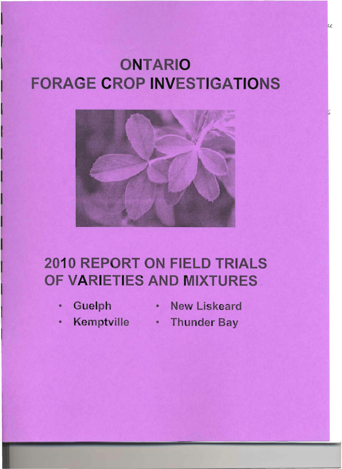# ONTARIO **FORAGE CROP INVESTIGATIONS**



## **2010 REPORT ON FIELD TRIALS** OF VARIETIES AND MIXTURES.

- 
- Guelph New Liskeard
- Kemptville Thunder Bay
	-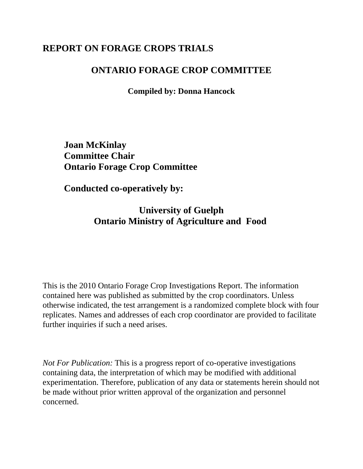## **REPORT ON FORAGE CROPS TRIALS**

### **ONTARIO FORAGE CROP COMMITTEE**

**Compiled by: Donna Hancock**

**Joan McKinlay Committee Chair Ontario Forage Crop Committee**

**Conducted co-operatively by:**

**University of Guelph Ontario Ministry of Agriculture and Food** 

This is the 2010 Ontario Forage Crop Investigations Report. The information contained here was published as submitted by the crop coordinators. Unless otherwise indicated, the test arrangement is a randomized complete block with four replicates. Names and addresses of each crop coordinator are provided to facilitate further inquiries if such a need arises.

*Not For Publication:* This is a progress report of co-operative investigations containing data, the interpretation of which may be modified with additional experimentation. Therefore, publication of any data or statements herein should not be made without prior written approval of the organization and personnel concerned.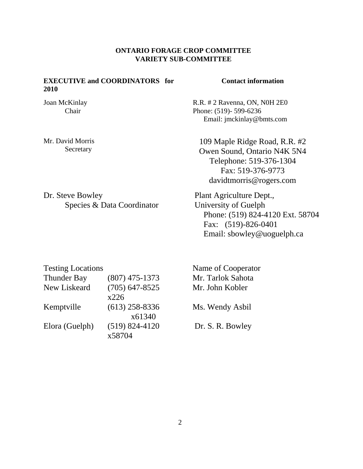#### **ONTARIO FORAGE CROP COMMITTEE VARIETY SUB-COMMITTEE**

#### **EXECUTIVE and COORDINATORS for 2010**

Joan McKinlay Chair

Mr. David Morris Secretary

Dr. Steve Bowley Species & Data Coordinator

#### **Contact information**

 R.R. # 2 Ravenna, ON, N0H 2E0 Phone: (519)- 599-6236 Email: jmckinlay@bmts.com

109 Maple Ridge Road, R.R. #2 Owen Sound, Ontario N4K 5N4 Telephone: 519-376-1304 Fax: 519-376-9773 davidtmorris@rogers.com

 Plant Agriculture Dept., University of Guelph Phone: (519) 824-4120 Ext. 58704 Fax: (519)-826-0401 Email: sbowley@uoguelph.ca

| <b>Testing Locations</b> |                    |
|--------------------------|--------------------|
| <b>Thunder Bay</b>       | $(807)$ 475-1373   |
| New Liskeard             | $(705)$ 647-8525   |
|                          | x226               |
| Kemptville               | $(613)$ 258-8336   |
|                          | x61340             |
| Elora (Guelph)           | $(519) 824 - 4120$ |
|                          | x58704             |

 Name of Cooperator Mr. Tarlok Sahota Mr. John Kobler Ms. Wendy Asbil Dr. S. R. Bowley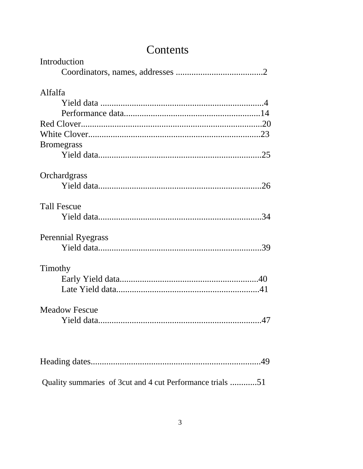| Contents                  |
|---------------------------|
| Introduction              |
|                           |
| Alfalfa                   |
|                           |
|                           |
|                           |
|                           |
| <b>Bromegrass</b>         |
|                           |
| Orchardgrass              |
|                           |
| <b>Tall Fescue</b>        |
|                           |
| <b>Perennial Ryegrass</b> |
|                           |
| Timothy                   |
|                           |
|                           |
| <b>Meadow Fescue</b>      |
|                           |
|                           |
|                           |
|                           |

Quality summaries of 3cut and 4 cut Performance trials ............51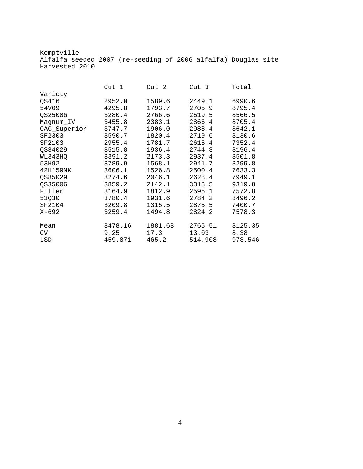Kemptville Alfalfa seeded 2007 (re-seeding of 2006 alfalfa) Douglas site Harvested 2010

|              | Cut 1   | Cut 2   | Cut 3   | Total   |
|--------------|---------|---------|---------|---------|
| Variety      |         |         |         |         |
| OS416        | 2952.0  | 1589.6  | 2449.1  | 6990.6  |
| 54V09        | 4295.8  | 1793.7  | 2705.9  | 8795.4  |
| QS25006      | 3280.4  | 2766.6  | 2519.5  | 8566.5  |
| Magnum_IV    | 3455.8  | 2383.1  | 2866.4  | 8705.4  |
| OAC_Superior | 3747.7  | 1906.0  | 2988.4  | 8642.1  |
| SF2303       | 3590.7  | 1820.4  | 2719.6  | 8130.6  |
| SF2103       | 2955.4  | 1781.7  | 2615.4  | 7352.4  |
| QS34029      | 3515.8  | 1936.4  | 2744.3  | 8196.4  |
| WL343HQ      | 3391.2  | 2173.3  | 2937.4  | 8501.8  |
| 53H92        | 3789.9  | 1568.1  | 2941.7  | 8299.8  |
| 42H159NK     | 3606.1  | 1526.8  | 2500.4  | 7633.3  |
| QS85029      | 3274.6  | 2046.1  | 2628.4  | 7949.1  |
| QS35006      | 3859.2  | 2142.1  | 3318.5  | 9319.8  |
| Filler       | 3164.9  | 1812.9  | 2595.1  | 7572.8  |
| 53Q30        | 3780.4  | 1931.6  | 2784.2  | 8496.2  |
| SF2104       | 3209.8  | 1315.5  | 2875.5  | 7400.7  |
| $X - 692$    | 3259.4  | 1494.8  | 2824.2  | 7578.3  |
| Mean         | 3478.16 | 1881.68 | 2765.51 | 8125.35 |
| CV           | 9.25    | 17.3    | 13.03   | 8.38    |
| LSD          | 459.871 | 465.2   | 514.908 | 973.546 |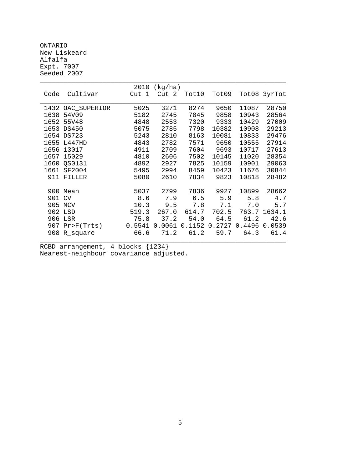ONTARIO New Liskeard Alfalfa Expt. 7007 Seeded 2007

|      |              | 2010   | (kg/ha) |        |        |        |              |
|------|--------------|--------|---------|--------|--------|--------|--------------|
| Code | Cultivar     | Cut 1  | Cut 2   | Tot10  | Tot09  |        | Tot08 3yrTot |
|      |              |        |         |        |        |        |              |
| 1432 | OAC_SUPERIOR | 5025   | 3271    | 8274   | 9650   | 11087  | 28750        |
| 1638 | 54V09        | 5182   | 2745    | 7845   | 9858   | 10943  | 28564        |
| 1652 | 55V48        | 4848   | 2553    | 7320   | 9333   | 10429  | 27009        |
| 1653 | <b>DS450</b> | 5075   | 2785    | 7798   | 10382  | 10908  | 29213        |
| 1654 | <b>DS723</b> | 5243   | 2810    | 8163   | 10081  | 10833  | 29476        |
| 1655 | L447HD       | 4843   | 2782    | 7571   | 9650   | 10555  | 27914        |
| 1656 | 13017        | 4911   | 2709    | 7604   | 9693   | 10717  | 27613        |
| 1657 | 15029        | 4810   | 2606    | 7502   | 10145  | 11020  | 28354        |
| 1660 | OS0131       | 4892   | 2927    | 7825   | 10159  | 10901  | 29063        |
| 1661 | SF2004       | 5495   | 2994    | 8459   | 10423  | 11676  | 30844        |
| 911  | FILLER       | 5080   | 2610    | 7834   | 9823   | 10818  | 28482        |
|      |              |        |         |        |        |        |              |
| 900  | Mean         | 5037   | 2799    | 7836   | 9927   | 10899  | 28662        |
| 901  | <b>CV</b>    | 8.6    | 7.9     | 6.5    | 5.9    | 5.8    | 4.7          |
|      | 905 MCV      | 10.3   | 9.5     | 7.8    | 7.1    | 7.0    | 5.7          |
| 902  | LSD          | 519.3  | 267.0   | 614.7  | 702.5  | 763.7  | 1634.1       |
|      | 906 LSR      | 75.8   | 37.2    | 54.0   | 64.5   | 61.2   | 42.6         |
| 907  | Pr>F(Trts)   | 0.5541 | 0.0061  | 0.1152 | 0.2727 | 0.4496 | 0.0539       |
| 908  | R_square     | 66.6   | 71.2    | 61.2   | 59.7   | 64.3   | 61.4         |
|      |              |        |         |        |        |        |              |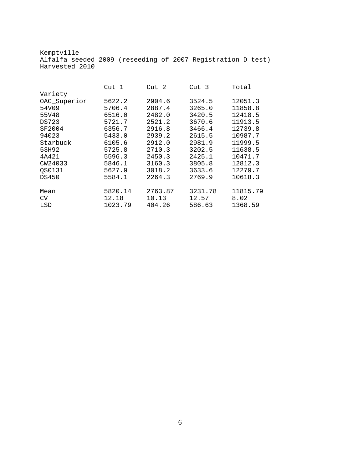Kemptville Alfalfa seeded 2009 (reseeding of 2007 Registration D test) Harvested 2010

|              | Cut <sub>1</sub> | Cut 2   | Cut 3   | Total    |
|--------------|------------------|---------|---------|----------|
| Variety      |                  |         |         |          |
| OAC_Superior | 5622.2           | 2904.6  | 3524.5  | 12051.3  |
| 54V09        | 5706.4           | 2887.4  | 3265.0  | 11858.8  |
| 55V48        | 6516.0           | 2482.0  | 3420.5  | 12418.5  |
| <b>DS723</b> | 5721.7           | 2521.2  | 3670.6  | 11913.5  |
| SF2004       | 6356.7           | 2916.8  | 3466.4  | 12739.8  |
| 94023        | 5433.0           | 2939.2  | 2615.5  | 10987.7  |
| Starbuck     | 6105.6           | 2912.0  | 2981.9  | 11999.5  |
| 53H92        | 5725.8           | 2710.3  | 3202.5  | 11638.5  |
| 4A421        | 5596.3           | 2450.3  | 2425.1  | 10471.7  |
| CW24033      | 5846.1           | 3160.3  | 3805.8  | 12812.3  |
| OS0131       | 5627.9           | 3018.2  | 3633.6  | 12279.7  |
| DS450        | 5584.1           | 2264.3  | 2769.9  | 10618.3  |
| Mean         | 5820.14          | 2763.87 | 3231.78 | 11815.79 |
| CV.          | 12.18            | 10.13   | 12.57   | 8.02     |
| LSD          | 1023.79          | 404.26  | 586.63  | 1368.59  |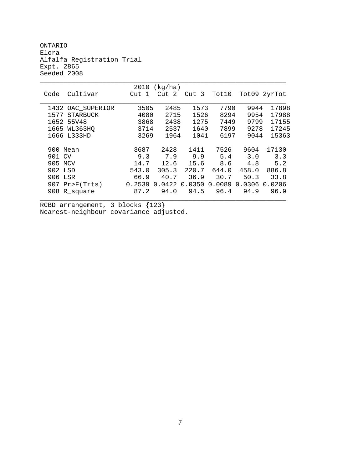ONTARIO Elora Alfalfa Registration Trial Expt. 2865 Seeded 2008

| 2010<br>(kg/ha)         |        |        |        |        |        |        |
|-------------------------|--------|--------|--------|--------|--------|--------|
| Cultivar<br>Code        | Cut 1  | Cut 2  | Cut 3  | Tot10  | Tot09  | 2yrTot |
|                         |        |        |        |        |        |        |
| 1432 OAC_SUPERIOR       | 3505   | 2485   | 1573   | 7790   | 9944   | 17898  |
| 1577<br><b>STARBUCK</b> | 4080   | 2715   | 1526   | 8294   | 9954   | 17988  |
| 1652<br>55V48           | 3868   | 2438   | 1275   | 7449   | 9799   | 17155  |
| 1665 WL363HO            | 3714   | 2537   | 1640   | 7899   | 9278   | 17245  |
| 1666 L333HD             | 3269   | 1964   | 1041   | 6197   | 9044   | 15363  |
|                         |        |        |        |        |        |        |
| 900 Mean                | 3687   | 2428   | 1411   | 7526   | 9604   | 17130  |
| 901 CV                  | 9.3    | 7.9    | 9.9    | 5.4    | 3.0    | 3.3    |
| 905 MCV                 | 14.7   | 12.6   | 15.6   | 8.6    | 4.8    | 5.2    |
| 902 LSD                 | 543.0  | 305.3  | 220.7  | 644.0  | 458.0  | 886.8  |
| 906 LSR                 | 66.9   | 40.7   | 36.9   | 30.7   | 50.3   | 33.8   |
| $907$ Pr>F(Trts)        | 0.2539 | 0.0422 | 0.0350 | 0.0089 | 0.0306 | 0.0206 |
| 908 R_square            | 87.2   | 94.0   | 94.5   | 96.4   | 94.9   | 96.9   |
|                         |        |        |        |        |        |        |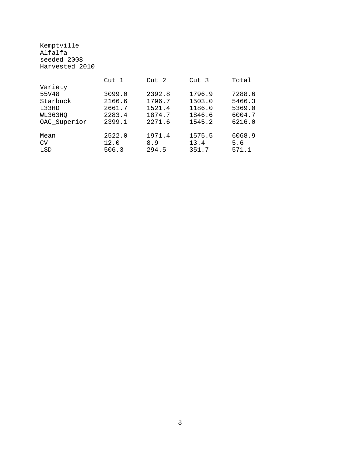Kemptville Alfalfa seeded 2008 Harvested 2010

|              | Cut <sub>1</sub> | Cut <sub>2</sub> | Cut <sub>3</sub> | Total  |
|--------------|------------------|------------------|------------------|--------|
| Variety      |                  |                  |                  |        |
| 55V48        | 3099.0           | 2392.8           | 1796.9           | 7288.6 |
| Starbuck     | 2166.6           | 1796.7           | 1503.0           | 5466.3 |
| L33HD        | 2661.7           | 1521.4           | 1186.0           | 5369.0 |
| WL363HQ      | 2283.4           | 1874.7           | 1846.6           | 6004.7 |
| OAC Superior | 2399.1           | 2271.6           | 1545.2           | 6216.0 |
| Mean         | 2522.0           | 1971.4           | 1575.5           | 6068.9 |
| CV           | 12.0             | 8.9              | 13.4             | 5.6    |
| LSD          | 506.3            | 294.5            | 351.7            | 571.1  |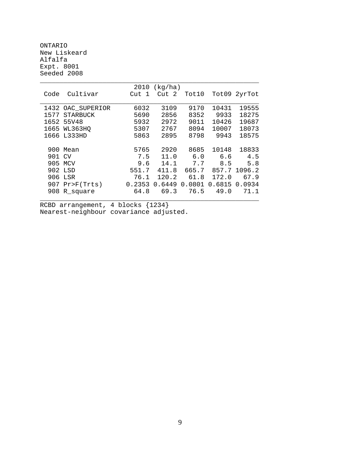ONTARIO New Liskeard Alfalfa Expt. 8001 Seeded 2008

|        |                   | 2010   | (kg/ha)          |        |                    |               |
|--------|-------------------|--------|------------------|--------|--------------------|---------------|
| Code   | Cultivar          | Cut 1  | Cut <sub>2</sub> | Tot10  |                    | Tot09 2yrTot  |
|        |                   |        |                  |        |                    |               |
|        | 1432 OAC_SUPERIOR | 6032   | 3109             | 9170   | 10431              | 19555         |
| 1577   | <b>STARBUCK</b>   | 5690   | 2856             | 8352   | 9933               | 18275         |
| 1652   | 55V48             | 5932   | 2972             | 9011   | 10426              | 19687         |
|        | 1665 WL363HO      | 5307   | 2767             | 8094   | 10007              | 18073         |
|        | 1666 L333HD       | 5863   | 2895             | 8798   | 9943               | 18575         |
|        |                   |        |                  |        |                    |               |
| 900    | Mean              | 5765   | 2920             | 8685   | 10148              | 18833         |
| 901 CV |                   | 7.5    | 11.0             | 6.0    | 6.6                | 4.5           |
|        | 905 MCV           | 9.6    | 14.1             | 7.7    | 8.5                | 5.8           |
|        | 902 LSD           | 551.7  | 411.8            |        | 665.7 857.7 1096.2 |               |
|        | 906 LSR           | 76.1   | 120.2            | 61.8   | 172.0              | 67.9          |
|        | $907$ Pr>F(Trts)  | 0.2353 | 0.6449           | 0.0801 |                    | 0.6815 0.0934 |
|        | 908 R_square      | 64.8   | 69.3             | 76.5   | 49.0               | 71.1          |
|        |                   |        |                  |        |                    |               |
|        |                   |        |                  |        |                    |               |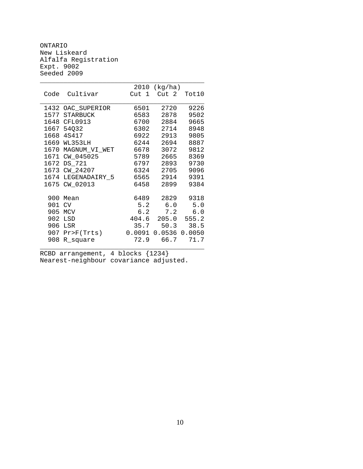ONTARIO New Liskeard Alfalfa Registration Expt. 9002 Seeded 2009

|      |                    | 2010   | (kg/ha)           |        |
|------|--------------------|--------|-------------------|--------|
| Code | Cultivar           | Cut 1  | Cut 2             | Tot10  |
|      |                    |        |                   |        |
|      | 1432 OAC_SUPERIOR  | 6501   | 2720              | 9226   |
|      | 1577 STARBUCK      | 6583   | 2878              | 9502   |
|      | 1648 CFL0913       | 6700   | 2884              | 9665   |
|      | 1667 54032         | 6302   | 2714              | 8948   |
|      | 1668 4S417         | 6922   | 2913              | 9805   |
|      | 1669 WL353LH       | 6244   | 2694              | 8887   |
|      | 1670 MAGNUM_VI_WET | 6678   | 3072              | 9812   |
| 1671 | CW_045025          | 5789   | 2665              | 8369   |
| 1672 | DS 721             | 6797   | 2893              | 9730   |
|      | 1673 CW_24207      | 6324   | 2705              | 9096   |
|      | 1674 LEGENADAIRY_5 |        | 6565 2914         | 9391   |
|      | 1675 CW_02013      | 6458   | 2899              | 9384   |
|      |                    |        |                   |        |
| 900  | Mean               | 6489   | 2829              | 9318   |
| 901  | <b>CV</b>          | 5.2    | 6.0               | 5.0    |
|      | 905 MCV            | 6.2    | 7.2               | 6.0    |
|      | 902 LSD            |        | 404.6 205.0 555.2 |        |
|      | 906 LSR            | 35.7   | 50.3              | 38.5   |
|      | 907 Pr>F(Trts)     | 0.0091 | 0.0536            | 0.0050 |
| 908  | R_square           | 72.9   | 66.7              | 71.7   |
|      |                    |        |                   |        |

\_\_\_\_\_\_\_\_\_\_\_\_\_\_\_\_\_\_\_\_\_\_\_\_\_\_\_\_\_\_\_\_\_\_\_\_\_\_\_\_\_\_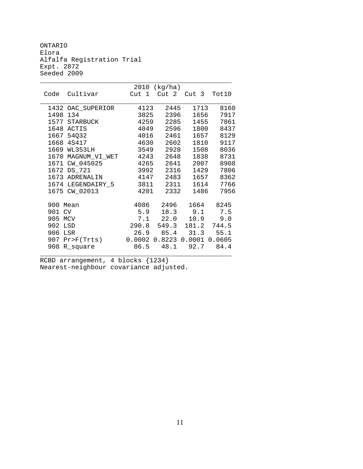ONTARIO Elora Alfalfa Registration Trial Expt. 2872 Seeded 2009

|                        |                         | 2010 (kg/ha)        |                      |               |
|------------------------|-------------------------|---------------------|----------------------|---------------|
| Cultivar<br>Code       | Cut 1                   |                     | Cut 2 Cut 3          | Tot10         |
|                        |                         |                     |                      |               |
| 1432 OAC_SUPERIOR      | 4123                    | 2445                | 1713                 | 8160          |
| 1498 134               | 3825                    | 2396                | 1656                 | 7917          |
| 1577 STARBUCK          | 4259                    | 2285                | 1455                 | 7861          |
| 1648 ACTIS             | 4049                    | 2596                | 1800                 | 8437          |
| 1667 54032             | 4016                    | 2461                | 1657                 | 8129          |
| 1668 4S417             | 4630                    | 2602                | 1810                 | 9117          |
| 1669 WL353LH           | 3549                    | 2928                | 1508                 | 8036          |
| 1670 MAGNUM_VI_WET     | 4243                    | 2648                | 1838                 | 8731          |
| 1671 CW_045025         | 4265                    | 2641                | 2007                 | 8908          |
| 1672 DS_721            | 3992                    | 2316                | 1429                 | 7806          |
| 1673 ADRENALIN         | 4147                    | 2483                | 1657                 | 8362          |
| 1674 LEGENDAIRY_5 3811 |                         | 2311                | 1614                 | 7766          |
| 1675 CW_02013          | 4201                    | 2332                | 1486                 | 7956          |
|                        |                         |                     |                      |               |
| 900 Mean               |                         | 4086 2496 1664 8245 |                      |               |
| 901 CV                 |                         | 5.9 18.3 9.1 7.5    |                      |               |
| 905 MCV                | $7.1$ 22.0              |                     |                      | $10.9$ $9.0$  |
| 902 LSD                | 290.8 549.3 181.2 744.5 |                     |                      |               |
| 906 LSR                |                         | 26.9 85.4           |                      | $31.3$ $55.1$ |
| 907 Pr>F(Trts) 0.0002  |                         |                     | 0.8223 0.0001 0.0605 |               |
| 908 R_square           |                         | 86.5 48.1 92.7 84.4 |                      |               |

\_\_\_\_\_\_\_\_\_\_\_\_\_\_\_\_\_\_\_\_\_\_\_\_\_\_\_\_\_\_\_\_\_\_\_\_\_\_\_\_\_\_\_\_\_\_\_\_\_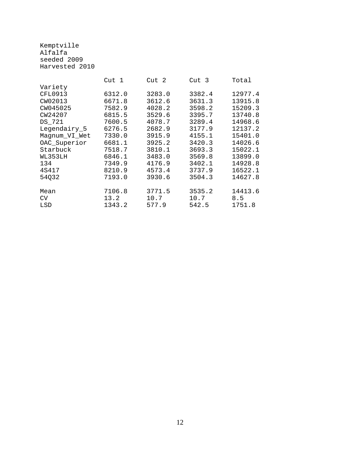Kemptville Alfalfa seeded 2009 Harvested 2010

|                | Cut 1  | Cut 2  | Cut <sub>3</sub> | Total   |
|----------------|--------|--------|------------------|---------|
| Variety        |        |        |                  |         |
| <b>CFL0913</b> | 6312.0 | 3283.0 | 3382.4           | 12977.4 |
| CW02013        | 6671.8 | 3612.6 | 3631.3           | 13915.8 |
| CW045025       | 7582.9 | 4028.2 | 3598.2           | 15209.3 |
| CW24207        | 6815.5 | 3529.6 | 3395.7           | 13740.8 |
| DS 721         | 7600.5 | 4078.7 | 3289.4           | 14968.6 |
| Legendairy_5   | 6276.5 | 2682.9 | 3177.9           | 12137.2 |
| Magnum_VI_Wet  | 7330.0 | 3915.9 | 4155.1           | 15401.0 |
| OAC_Superior   | 6681.1 | 3925.2 | 3420.3           | 14026.6 |
| Starbuck       | 7518.7 | 3810.1 | 3693.3           | 15022.1 |
| WL353LH        | 6846.1 | 3483.0 | 3569.8           | 13899.0 |
| 134            | 7349.9 | 4176.9 | 3402.1           | 14928.8 |
| 4S417          | 8210.9 | 4573.4 | 3737.9           | 16522.1 |
| 54032          | 7193.0 | 3930.6 | 3504.3           | 14627.8 |
| Mean           | 7106.8 | 3771.5 | 3535.2           | 14413.6 |
|                |        |        |                  |         |
| <b>CV</b>      | 13.2   | 10.7   | 10.7             | 8.5     |
| LSD            | 1343.2 | 577.9  | 542.5            | 1751.8  |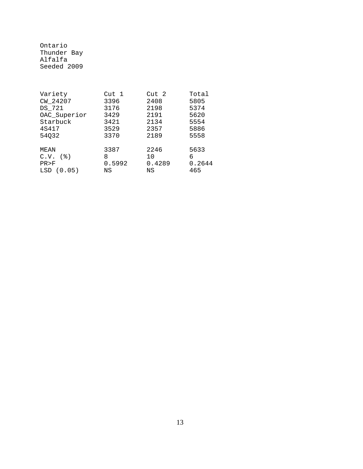Ontario Thunder Bay Alfalfa Seeded 2009

| Variety      | Cut 1  | Cut 2  | Total  |
|--------------|--------|--------|--------|
| CW_24207     | 3396   | 2408   | 5805   |
| DS_721       | 3176   | 2198   | 5374   |
| OAC_Superior | 3429   | 2191   | 5620   |
| Starbuck     | 3421   | 2134   | 5554   |
| 4S417        | 3529   | 2357   | 5886   |
| 54032        | 3370   | 2189   | 5558   |
| MEAN         | 3387   | 2246   | 5633   |
| $C.V.$ $(8)$ | 8      | 10     | 6      |
| PR > F       | 0.5992 | 0.4289 | 0.2644 |
| LSD(0.05)    | ΝS     | ΝS     | 465    |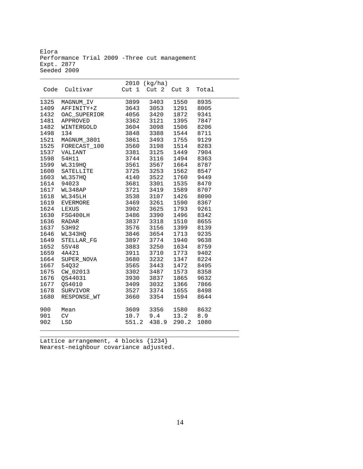Elora Performance Trial 2009 -Three cut management Expt. 2877 Seeded 2009

\_\_\_\_\_\_\_\_\_\_\_\_\_\_\_\_\_\_\_\_\_\_\_\_\_\_\_\_\_\_\_\_\_\_\_\_\_\_\_\_\_\_\_\_\_\_\_\_\_\_\_\_\_\_\_\_

|      |                                                                                                         |                              | 2010 (kg/ha)                        |                        |       |
|------|---------------------------------------------------------------------------------------------------------|------------------------------|-------------------------------------|------------------------|-------|
| Code | Cultivar                                                                                                | Cut 1                        | Cut 2                               | Cut <sub>3</sub>       | Total |
|      |                                                                                                         |                              |                                     |                        |       |
| 1325 | MAGNUM_IV                                                                                               | 3899                         | 3403                                | 1550                   | 8935  |
| 1409 | AFFINITY+Z                                                                                              | 3643                         | 3053                                | 1291                   | 8005  |
| 1432 | OAC_SUPERIOR 4056<br>APPROVED 3362<br>WINTERGOLD 3604                                                   |                              | 3420                                | 1872                   | 9341  |
| 1481 |                                                                                                         |                              | 3121<br>3098                        | 1395                   | 7847  |
| 1482 | AFFROVED<br>WINTERGOLD<br>134                                                                           |                              |                                     | دود<br>1506            | 8206  |
| 1498 | 134                                                                                                     | 3848                         |                                     | 3388 1544              | 8711  |
| 1521 | MAGNUM_3801 3861                                                                                        |                              |                                     | 3493 1755              | 9129  |
| 1525 |                                                                                                         |                              |                                     | 1514                   | 8283  |
| 1537 |                                                                                                         |                              |                                     |                        | 7904  |
| 1598 |                                                                                                         |                              |                                     |                        | 8363  |
| 1599 | FORECAST_100 3560 3198 1514<br>VALIANT 3381 3125 1449<br>54H11 3744 3116 1494<br>ML319HQ 3561 3567 1664 |                              |                                     | 1664                   | 8787  |
| 1600 |                                                                                                         |                              |                                     | 1562 8547<br>1760 9449 |       |
| 1603 |                                                                                                         |                              |                                     |                        |       |
| 1614 | WL319HQ<br>SATELLITE 3725 3253<br>WL357HQ 4140 3522<br>94023 3681 3301                                  |                              | 3301                                | 1535                   | 8470  |
| 1617 | WL348AP                                                                                                 | 3721                         | 3419                                | 1589                   | 8707  |
| 1618 | WL345LH                                                                                                 | 3538                         | 3107                                | 1426 8090              |       |
| 1619 | EVERMORE                                                                                                | 3469 3261                    |                                     | 1590                   | 8367  |
| 1624 | LEXUS                                                                                                   | 3902 3625                    |                                     | 1793                   | 9261  |
| 1630 | FSG400LH                                                                                                | 3486<br>3837<br>3576<br>3846 | 3486 3390<br>3837 3318<br>3576 3156 | 1496 8342              |       |
| 1636 | RADAR                                                                                                   |                              |                                     |                        |       |
| 1637 | 53H92                                                                                                   |                              | 3318<br>3156                        | 1510 8655<br>1399 8139 |       |
| 1646 | WL343HQ                                                                                                 |                              |                                     | 3654 1713 9235         |       |
| 1649 |                                                                                                         |                              |                                     | 1940 9638              |       |
| 1652 | 8123434<br>STELLAR_FG 3897 3774<br>55V48 3883 3250<br>4A421 3911 3710                                   |                              |                                     | 1634 8759              |       |
|      | 1659 4A421                                                                                              |                              |                                     | 1773                   | 9402  |
| 1664 | SUPER_NOVA 3680 3232                                                                                    |                              |                                     | 1347                   | 8224  |
| 1667 | 54Q32                                                                                                   | 3565                         | 3443                                | 1472                   | 8495  |
| 1675 |                                                                                                         |                              |                                     | $1573$<br>$1865$       | 8358  |
| 1676 | CW_02013<br>QS44031<br>QS4010                                                                           | 3302<br>3930                 | 3487<br>3837                        | 1865                   | 9632  |
| 1677 | QS4010                                                                                                  | 3409                         | 3032                                | 1366                   | 7866  |
| 1678 | SURVIVOR                                                                                                | 3527                         | 3374                                | 1655                   | 8498  |
| 1680 | RESPONSE_WT 3660                                                                                        |                              | 3354                                | 1594                   | 8644  |
|      |                                                                                                         |                              |                                     |                        |       |
| 900  | Mean                                                                                                    |                              | 3609 3356                           | 1580 8632              |       |
| 901  | CV                                                                                                      |                              | 10.7 9.4 13.2 8.9                   |                        |       |
| 902  | $_{\rm LSD}$                                                                                            | 551.2                        | 438.9                               | 290.2                  | 1080  |
|      |                                                                                                         |                              |                                     |                        |       |

\_\_\_\_\_\_\_\_\_\_\_\_\_\_\_\_\_\_\_\_\_\_\_\_\_\_\_\_\_\_\_\_\_\_\_\_\_\_\_\_\_\_\_\_\_\_\_\_\_\_\_\_\_\_\_\_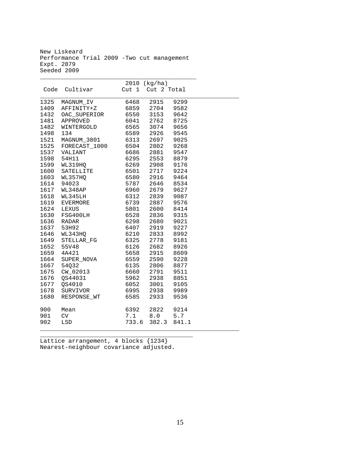New Liskeard Performance Trial 2009 -Two cut management Expt. 2879 Seeded 2009

\_\_\_\_\_\_\_\_\_\_\_\_\_\_\_\_\_\_\_\_\_\_\_\_\_\_\_\_\_\_\_\_\_\_\_\_\_\_\_\_\_\_\_\_

|      |                                   |                              | 2010 (kg/ha)                                       |       |  |
|------|-----------------------------------|------------------------------|----------------------------------------------------|-------|--|
| Code | Cultivar                          |                              | Cut 1 Cut 2 Total                                  |       |  |
|      |                                   |                              |                                                    |       |  |
| 1325 | MAGNUM_IV                         | 6468                         | 2915                                               | 9299  |  |
| 1409 | AFFINITY+Z                        | 6859                         | 2704 9582                                          |       |  |
| 1432 | OAC_SUPERIOR                      | 6550<br>6550<br>6041<br>6565 | 3153                                               | 9642  |  |
| 1481 | APPROVED                          |                              | 2762                                               | 8725  |  |
| 1482 | WINTERGOLD                        |                              | 3074 9656                                          |       |  |
| 1498 | 134                               |                              | 6589 2926 9545                                     |       |  |
| 1521 | MAGNUM_3801                       |                              | 6313 2697 9025                                     |       |  |
|      | 1525 FORECAST_1000 6504 2802 9268 |                              |                                                    |       |  |
|      | 1537 VALIANT                      |                              | 6686 2881 9547                                     |       |  |
| 1598 | 54H11                             |                              | 6295 2553 8879                                     |       |  |
|      | 1599 WL319HQ                      |                              |                                                    |       |  |
|      | 1600 SATELLITE                    |                              |                                                    |       |  |
| 1603 | WL357HO                           |                              | 6269 2908 9176<br>6501 2717 9224<br>6580 2916 9464 |       |  |
| 1614 | 94023                             |                              | 5787 2646 8534                                     |       |  |
| 1617 | WL348AP                           |                              | 6960 2679 9627                                     |       |  |
| 1618 | WL345LH                           | 6312                         | 2839 9087                                          |       |  |
| 1619 | EVERMORE                          | 6739                         | 2887 9576                                          |       |  |
| 1624 | LEXUS                             | 5801                         | 2600 8414                                          |       |  |
| 1630 | FSG400LH                          | 6528<br>6298<br>6407         | 2836 9315                                          |       |  |
| 1636 | RADAR                             |                              | 2680                                               | 9021  |  |
|      | 1637 53H92                        |                              | 2919 9227                                          |       |  |
|      | 1646 WL343HQ                      |                              | 6210 2833 8992                                     |       |  |
|      | 1649 STELLAR_FG                   |                              | 6325 2778 9181                                     |       |  |
| 1652 | 55V48                             |                              | 6126 2682 8926                                     |       |  |
| 1659 | 4A421                             |                              | 5658 2915 8609                                     |       |  |
| 1664 | SUPER_NOVA                        |                              | 6559 2590 9228                                     |       |  |
| 1667 | 54Q32                             | 6135                         | 2806 8877                                          |       |  |
| 1675 | CW_02013                          | 6660                         | 2791                                               | 9511  |  |
| 1676 | QS44031                           | 5962                         | 2938                                               | 8851  |  |
| 1677 | QS4010                            | 6052                         | 3001 9105                                          |       |  |
| 1678 | SURVIVOR                          |                              | 6995 2938 9989                                     |       |  |
| 1680 | RESPONSE_WT                       | 6585                         | 2933                                               | 9536  |  |
| 900  | Mean                              | 6392                         | 2822 9214                                          |       |  |
| 901  | CV                                | 7.1                          | $8.0$ 5.7                                          |       |  |
| 902  | LSD                               | 733.6                        | 382.3                                              | 841.1 |  |
|      |                                   |                              |                                                    |       |  |

Lattice arrangement, 4 blocks {1234} Nearest-neighbour covariance adjusted.

\_\_\_\_\_\_\_\_\_\_\_\_\_\_\_\_\_\_\_\_\_\_\_\_\_\_\_\_\_\_\_\_\_\_\_\_\_\_\_\_\_\_\_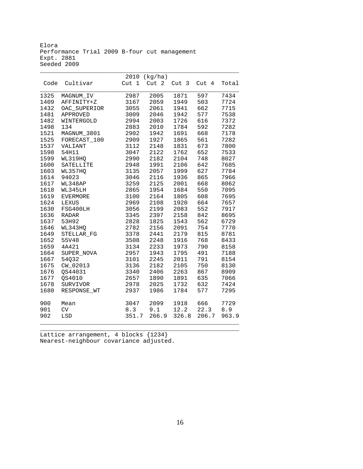Elora Performance Trial 2009 B-four cut management Expt. 2881 Seeded 2009

\_\_\_\_\_\_\_\_\_\_\_\_\_\_\_\_\_\_\_\_\_\_\_\_\_\_\_\_\_\_\_\_\_\_\_\_\_\_\_\_\_\_\_\_\_\_\_\_\_\_\_\_\_\_\_\_

|      |                 | 2010             | (kg/ha) |                  |       |       |
|------|-----------------|------------------|---------|------------------|-------|-------|
| Code | Cultivar        | Cut <sub>1</sub> | Cut 2   | Cut <sub>3</sub> | Cut 4 | Total |
| 1325 | MAGNUM_IV       | 2987             | 2005    | 1871             | 597   | 7434  |
| 1409 | AFFINITY+Z      | 3167             | 2059    | 1949             | 503   | 7724  |
| 1432 | OAC_SUPERIOR    | 3055             | 2061    | 1941             | 662   | 7715  |
| 1481 | APPROVED        | 3009             | 2046    | 1942             | 577   | 7538  |
| 1482 | WINTERGOLD      | 2994             | 2003    | 1726             | 616   | 7372  |
| 1498 | 134             | 2883             | 2010    | 1784             | 592   | 7282  |
| 1521 | MAGNUM_3801     | 2902             | 1942    | 1691             | 668   | 7178  |
| 1525 | FORECAST_100    | 2909             | 1927    | 1865             | 561   | 7282  |
| 1537 | VALIANT         | 3112             | 2148    | 1831             | 673   | 7800  |
| 1598 | 54H11           | 3047             | 2122    | 1762             | 652   | 7533  |
| 1599 | WL319HQ         | 2990             | 2182    | 2104             | 748   | 8027  |
| 1600 | SATELLITE       | 2948             | 1991    | 2106             | 642   | 7685  |
| 1603 | WL357HQ         | 3135             | 2057    | 1999             | 627   | 7784  |
| 1614 | 94023           | 3046             | 2116    | 1936             | 865   | 7966  |
| 1617 | WL348AP         | 3259             | 2125    | 2001             | 668   | 8062  |
| 1618 | WL345LH         | 2865             | 1954    | 1684             | 550   | 7095  |
| 1619 | <b>EVERMORE</b> | 3100             | 2164    | 1805             | 608   | 7695  |
| 1624 | LEXUS           | 2969             | 2108    | 1920             | 664   | 7657  |
| 1630 | FSG400LH        | 3056             | 2199    | 2083             | 552   | 7917  |
| 1636 | <b>RADAR</b>    | 3345             | 2397    | 2158             | 842   | 8695  |
| 1637 | 53H92           | 2828             | 1825    | 1543             | 562   | 6729  |
| 1646 | WL343HQ         | 2782             | 2156    | 2091             | 754   | 7770  |
| 1649 | STELLAR_FG      | 3378             | 2441    | 2179             | 815   | 8781  |
| 1652 | 55V48           | 3508             | 2248    | 1916             | 768   | 8433  |
| 1659 | 4A421           | 3134             | 2233    | 1973             | 790   | 8158  |
| 1664 | SUPER_NOVA      | 2957             | 1943    | 1795             | 491   | 7188  |
| 1667 | 54Q32           | 3101             | 2245    | 2011             | 791   | 8154  |
| 1675 | CW_02013        | 3136             | 2182    | 2105             | 750   | 8130  |
| 1676 | QS44031         | 3340             | 2406    | 2263             | 867   | 8909  |
| 1677 | QS4010          | 2657             | 1890    | 1891             | 635   | 7066  |
| 1678 | SURVIVOR        | 2978             | 2025    | 1732             | 632   | 7424  |
| 1680 | RESPONSE WT     | 2937             | 1986    | 1784             | 577   | 7295  |
| 900  | Mean            | 3047             | 2099    | 1918             | 666   | 7729  |
| 901  | ${\rm CV}$      | 8.3              | 9.1     | 12.2             | 22.3  | 8.9   |
| 902  | LSD             | 351.7            | 266.9   | 326.8            | 206.7 | 963.9 |
|      |                 |                  |         |                  |       |       |

\_\_\_\_\_\_\_\_\_\_\_\_\_\_\_\_\_\_\_\_\_\_\_\_\_\_\_\_\_\_\_\_\_\_\_\_\_\_\_\_\_\_\_\_\_\_\_\_\_\_\_\_\_\_\_\_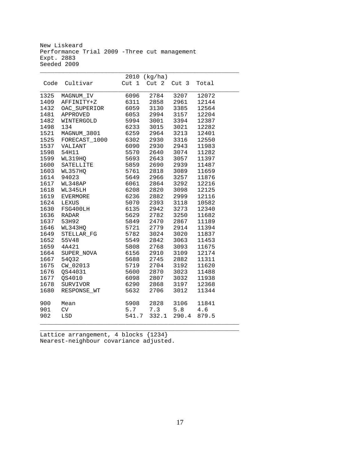New Liskeard Performance Trial 2009 -Three cut management Expt. 2883 Seeded 2009

\_\_\_\_\_\_\_\_\_\_\_\_\_\_\_\_\_\_\_\_\_\_\_\_\_\_\_\_\_\_\_\_\_\_\_\_\_\_\_\_\_\_\_\_\_\_\_\_\_\_\_\_\_\_\_\_

|      |               |              | 2010 (kg/ha) |                  |       |
|------|---------------|--------------|--------------|------------------|-------|
| Code | Cultivar      |              | Cut 1 Cut 2  | Cut <sub>3</sub> | Total |
|      |               |              |              |                  |       |
| 1325 | MAGNUM_IV     | 6096         | 2784         | 3207             | 12072 |
| 1409 | AFFINITY+Z    | 6311         | 2858         | 2961             | 12144 |
| 1432 | OAC_SUPERIOR  | 6059         | 3130         | 3385             | 12564 |
| 1481 | APPROVED      | 6053         | 2994<br>3001 | 3157             | 12204 |
| 1482 | WINTERGOLD    | 5994         |              | 3394             | 12387 |
| 1498 | 134           | 6233         | 3015         | 3021             | 12282 |
| 1521 | MAGNUM_3801   | 6259         | 2964         | 3213             | 12401 |
| 1525 | FORECAST_1000 | 6302         | 2930         | 3316             | 12550 |
| 1537 | VALIANT       | 6090         | 2930         | 2943             | 11983 |
| 1598 | 54H11         | 5570         | 2640         | 3074             | 11282 |
| 1599 | WL319HQ       | 5693         | 2643         | 3057             | 11397 |
| 1600 | SATELLITE     | 5859<br>5761 | 2690         | 2939             | 11487 |
| 1603 | WL357HQ       | 5761         | 2818         | 3089             | 11659 |
| 1614 | 94023         | 5649         | 2966         | 3257             | 11876 |
| 1617 | WL348AP       | 6061         | 2864         | 3292             | 12216 |
| 1618 | WL345LH       | 6208         | 2820         | 3098             | 12125 |
| 1619 | EVERMORE      | 6236         | 2882         | 2999             | 12116 |
| 1624 | LEXUS         | 5070         | 2393         | 3118             | 10582 |
| 1630 | FSG400LH      | 6135         | 2942         | 3273             | 12340 |
| 1636 | <b>RADAR</b>  | 5629         | 2782         | 3250             | 11682 |
| 1637 | 53H92         | 5849         | 2470         | 2867             | 11189 |
| 1646 | WL343HQ       | 5721         | 2779         | 2914             | 11394 |
| 1649 | STELLAR_FG    | 5782         | 3024         | 3020             | 11837 |
| 1652 | 55V48         | 5549         | 2842         | 3063             | 11453 |
| 1659 | 4A421         | 5808         | 2768         | 3093             | 11675 |
| 1664 | SUPER_NOVA    | 6156         | 2910         | 3109             | 12174 |
| 1667 | 54Q32         | 5688         | 2745         | 2882             | 11311 |
| 1675 | CW_02013      | 5719         | 2704         | 3192             | 11620 |
| 1676 | QS44031       | 5600         | 2870         | 3023             | 11488 |
| 1677 | QS4010        | 6098         | 2807         | 3032             | 11938 |
| 1678 | SURVIVOR      | 6290         | 2868         | 3197             | 12368 |
| 1680 | RESPONSE WT   | 5632         | 2706         | 3012             | 11344 |
|      |               |              |              |                  |       |
| 900  | Mean          | 5908         |              | 2828 3106        | 11841 |
| 901  | CV            |              | 5.7 7.3      | 5.8              | 4.6   |
| 902  | LSD           | 541.7        | 332.1        | 290.4            | 879.5 |
|      |               |              |              |                  |       |

\_\_\_\_\_\_\_\_\_\_\_\_\_\_\_\_\_\_\_\_\_\_\_\_\_\_\_\_\_\_\_\_\_\_\_\_\_\_\_\_\_\_\_\_\_\_\_\_\_\_\_\_\_\_\_\_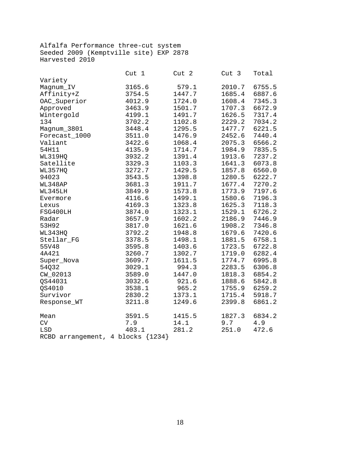Alfalfa Performance three-cut system Seeded 2009 (Kemptville site) EXP 2878 Harvested 2010

|                                     | Cut 1  | Cut 2  | Cut 3  | Total  |
|-------------------------------------|--------|--------|--------|--------|
| Variety                             |        |        |        |        |
| Magnum_IV                           | 3165.6 | 579.1  | 2010.7 | 6755.5 |
| Affinity+Z                          | 3754.5 | 1447.7 | 1685.4 | 6887.6 |
| OAC_Superior                        | 4012.9 | 1724.0 | 1608.4 | 7345.3 |
| Approved                            | 3463.9 | 1501.7 | 1707.3 | 6672.9 |
| Wintergold                          | 4199.1 | 1491.7 | 1626.5 | 7317.4 |
| 134                                 | 3702.2 | 1102.8 | 2229.2 | 7034.2 |
| Magnum_3801                         | 3448.4 | 1295.5 | 1477.7 | 6221.5 |
| Forecast_1000                       | 3511.0 | 1476.9 | 2452.6 | 7440.4 |
| Valiant                             | 3422.6 | 1068.4 | 2075.3 | 6566.2 |
| 54H11                               | 4135.9 | 1714.7 | 1984.9 | 7835.5 |
| WL319HQ                             | 3932.2 | 1391.4 | 1913.6 | 7237.2 |
| Satellite                           | 3329.3 | 1103.3 | 1641.3 | 6073.8 |
| WL357HQ                             | 3272.7 | 1429.5 | 1857.8 | 6560.0 |
| 94023                               | 3543.5 | 1398.8 | 1280.5 | 6222.7 |
| WL348AP                             | 3681.3 | 1911.7 | 1677.4 | 7270.2 |
| WL345LH                             | 3849.9 | 1573.8 | 1773.9 | 7197.6 |
| Evermore                            | 4116.6 | 1499.1 | 1580.6 | 7196.3 |
| Lexus                               | 4169.3 | 1323.8 | 1625.3 | 7118.3 |
| FSG400LH                            | 3874.0 | 1323.1 | 1529.1 | 6726.2 |
| Radar                               | 3657.9 | 1602.2 | 2186.9 | 7446.9 |
| 53H92                               | 3817.0 | 1621.6 | 1908.2 | 7346.8 |
| WL343HQ                             | 3792.2 | 1948.8 | 1679.6 | 7420.6 |
| Stellar FG                          | 3378.5 | 1498.1 | 1881.5 | 6758.1 |
| 55V48                               | 3595.8 | 1403.6 | 1723.5 | 6722.8 |
| 4A421                               | 3260.7 | 1302.7 | 1719.0 | 6282.4 |
| Super_Nova                          | 3609.7 | 1611.5 | 1774.7 | 6995.8 |
| 54032                               | 3029.1 | 994.3  | 2283.5 | 6306.8 |
| CW_02013                            | 3589.0 | 1447.0 | 1818.3 | 6854.2 |
| QS44031                             | 3032.6 | 921.6  | 1888.6 | 5842.8 |
| <b>0S4010</b>                       | 3538.1 | 965.2  | 1755.9 | 6259.2 |
| Survivor                            | 2830.2 | 1373.1 | 1715.4 | 5918.7 |
| Response_WT                         | 3211.8 | 1249.6 | 2399.8 | 6861.2 |
| Mean                                | 3591.5 | 1415.5 | 1827.3 | 6834.2 |
| ${\rm CV}$                          | 7.9    | 14.1   | 9.7    | 4.9    |
| LSD                                 | 403.1  | 281.2  | 251.0  | 472.6  |
| RCBD arrangement, 4 blocks ${1234}$ |        |        |        |        |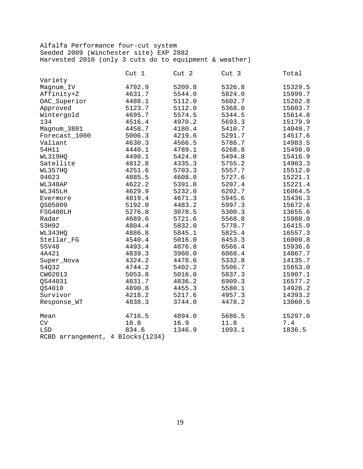#### Alfalfa Performance four-cut system Seeded 2009 (Winchester site) EXP 2882 Harvested 2010 (only 3 cuts do to equipment & weather)

|                                       | Cut 1  | Cut 2  | Cut <sub>3</sub> | Total   |
|---------------------------------------|--------|--------|------------------|---------|
| Variety                               |        |        |                  |         |
| Magnum_IV                             | 4792.9 | 5209.8 | 5326.8           | 15329.5 |
| Affinity+Z                            | 4631.7 | 5544.0 | 5824.0           | 15999.7 |
| OAC_Superior                          | 4488.1 | 5112.0 | 5602.7           | 15202.8 |
| Approved                              | 5123.7 | 5112.0 | 5368.0           | 15603.7 |
| Wintergold                            | 4695.7 | 5574.5 | 5344.5           | 15614.8 |
| 134                                   | 4516.4 | 4970.2 | 5693.3           | 15179.9 |
| Magnum_3801                           | 4458.7 | 4180.4 | 5410.7           | 14049.7 |
| Forecast_1000                         | 5006.3 | 4219.6 | 5291.7           | 14517.6 |
| Valiant                               | 4630.3 | 4566.5 | 5786.7           | 14983.5 |
| 54H11                                 | 4440.1 | 4789.1 | 6268.8           | 15498.0 |
| WL319HQ                               | 4498.1 | 5424.0 | 5494.8           | 15416.9 |
| Satellite                             | 4812.8 | 4335.3 | 5755.2           | 14903.3 |
| WL357HQ                               | 4251.6 | 5703.3 | 5557.7           | 15512.6 |
| 94023                                 | 4885.5 | 4608.0 | 5727.6           | 15221.1 |
| WL348AP                               | 4622.2 | 5391.8 | 5207.4           | 15221.4 |
| WL345LH                               | 4629.9 | 5232.0 | 6202.7           | 16064.5 |
| Evermore                              | 4819.4 | 4671.3 | 5945.6           | 15436.3 |
| QS05009                               | 5192.0 | 4483.2 | 5997.3           | 15672.6 |
| FSG400LH                              | 5276.8 | 3078.5 | 5300.3           | 13655.6 |
| Radar                                 | 4689.6 | 5721.6 | 5568.8           | 15980.0 |
| 53H92                                 | 4804.4 | 5832.0 | 5778.7           | 16415.0 |
| WL343HQ                               | 4886.8 | 5845.1 | 5825.4           | 16557.3 |
| Stellar_FG                            | 4540.4 | 5016.0 | 6453.3           | 16009.8 |
| 55V48                                 | 4493.4 | 4876.8 | 6566.4           | 15936.6 |
| 4A421                                 | 4839.3 | 3960.0 | 6068.4           | 14867.7 |
| Super_Nova                            | 4324.2 | 4478.6 | 5332.8           | 14135.7 |
| 54032                                 | 4744.2 | 5402.2 | 5506.7           | 15653.0 |
| CW02013                               | 5053.8 | 5016.0 | 5837.3           | 15907.1 |
| QS44031                               | 4831.7 | 4836.2 | 6909.3           | 16577.2 |
| QS4010                                | 4890.8 | 4455.3 | 5580.1           | 14926.2 |
| Survivor                              | 4218.2 | 5217.6 | 4957.3           | 14393.2 |
| Response_WT                           | 4838.3 | 3744.0 | 4478.2           | 13060.5 |
| Mean                                  | 4716.5 | 4894.0 | 5686.5           | 15297.0 |
| ${\rm CV}$                            | 10.8   | 16.9   | 11.8             | 7.4     |
| LSD                                   | 834.6  | 1346.9 | 1093.1           | 1836.5  |
| RCBD arrangement, 4 Blocks $\{1234\}$ |        |        |                  |         |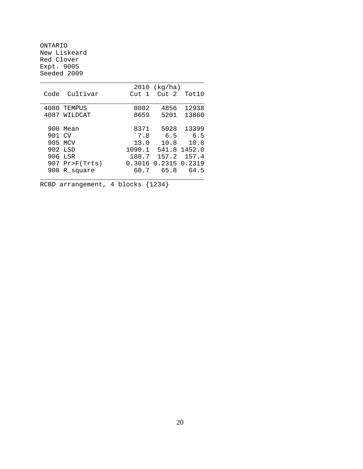ONTARIO New Liskeard Red Clover Expt. 9005 Seeded 2009

|        |            | 2010             | (kq/ha)          |        |
|--------|------------|------------------|------------------|--------|
| Code   | Cultivar   | Cut <sub>1</sub> | Cut <sub>2</sub> | Tot10  |
|        |            |                  |                  |        |
| 4080   | TEMPUS     | 8082             | 4856             | 12938  |
| 4087   | WILDCAT    | 8659             | 5201             | 13860  |
|        |            |                  |                  |        |
| 900    | Mean       | 8371             | 5028             | 13399  |
| 901 CV |            | 7.8              | 6.5              | 6.5    |
|        | 905 MCV    | 13.0             | 10.8             | 10.8   |
|        | 902 LSD    | 1090.1           | 541.8            | 1452.0 |
|        | 906 LSR    | 188.7            | 157.2            | 157.4  |
| 907    | Pr>F(Trts) |                  | 0.3016 0.2315    | 0.2319 |
| 908    | R square   | 60.7             | 65.8             | 64.5   |
|        |            |                  |                  |        |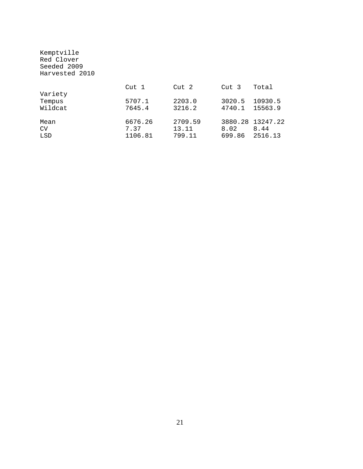| Kemptville<br>Red Clover<br>Seeded 2009<br>Harvested 2010 |                  |         |                  |                  |
|-----------------------------------------------------------|------------------|---------|------------------|------------------|
|                                                           | Cut <sub>1</sub> | Cut 2   | Cut <sub>3</sub> | Total            |
| Variety                                                   |                  |         |                  |                  |
| Tempus                                                    | 5707.1           | 2203.0  |                  | 3020.5 10930.5   |
| Wildcat                                                   | 7645.4           | 3216.2  |                  | 4740.1 15563.9   |
| Mean                                                      | 6676.26          | 2709.59 |                  | 3880.28 13247.22 |
| CV                                                        | 7.37             | 13.11   | 8.02             | 8.44             |
| LSD                                                       | 1106.81          | 799.11  |                  | 699.86 2516.13   |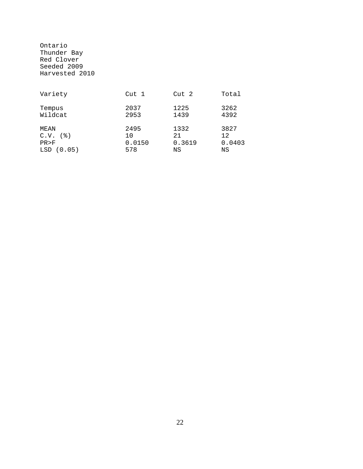Ontario Thunder Bay Red Clover Seeded 2009 Harvested 2010

| Variety                                                     | Cut 1                       | Cut 2                       | Total                      |
|-------------------------------------------------------------|-----------------------------|-----------------------------|----------------------------|
| Tempus<br>Wildcat                                           | 2037<br>2953                | 1225<br>1439                | 3262<br>4392               |
| MEAN<br>$C.V.$ ( $\frac{8}{9}$ )<br>PR > F<br>(0.05)<br>LSD | 2495<br>10<br>0.0150<br>578 | 1332<br>2.1<br>0.3619<br>ΝS | 3827<br>12<br>0.0403<br>ΝS |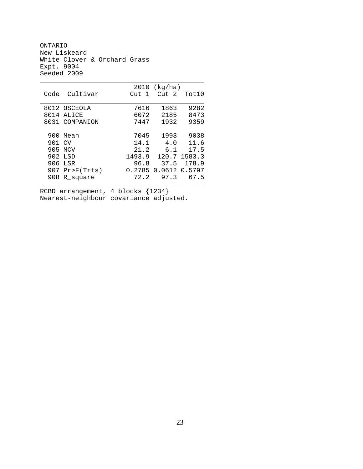ONTARIO New Liskeard White Clover & Orchard Grass Expt. 9004 Seeded 2009

|        |                | 2010                  | (kq/ha)          |        |
|--------|----------------|-----------------------|------------------|--------|
| Code   | Cultivar       | $\overline{1}$<br>Cut | Cut <sub>2</sub> | Tot10  |
|        |                |                       |                  |        |
|        | 8012 OSCEOLA   | 7616                  | 1863             | 9282   |
| 8014   | ALICE          | 6072                  | 2185             | 8473   |
|        | 8031 COMPANION | 7447                  | 1932             | 9359   |
|        |                |                       |                  |        |
| 900    | Mean           | 7045                  | 1993             | 9038   |
| 901 CV |                | 14.1                  | 4.0              | 11.6   |
| 905    | MCV            | 21.2                  | 6.1              | 17.5   |
|        | 902 LSD        | 1493.9                | 120.7            | 1583.3 |
|        | 906 LSR        | 96.8                  | 37.5             | 178.9  |
| 907    | Pr>F(Trts)     | 0.2785                | 0.0612           | 0.5797 |
| 908    | R square       | 72.2                  | 97.3             | 67.5   |
|        |                |                       |                  |        |

\_\_\_\_\_\_\_\_\_\_\_\_\_\_\_\_\_\_\_\_\_\_\_\_\_\_\_\_\_\_\_\_\_\_\_\_\_\_\_\_\_\_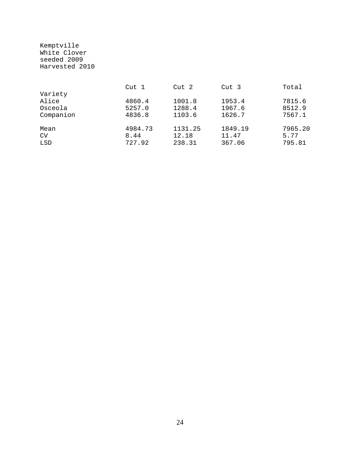Kemptville White Clover seeded 2009 Harvested 2010

|           | Cut 1   | Cut 2   | Cut 3   | Total   |
|-----------|---------|---------|---------|---------|
| Variety   |         |         |         |         |
| Alice     | 4860.4  | 1001.8  | 1953.4  | 7815.6  |
| Osceola   | 5257.0  | 1288.4  | 1967.6  | 8512.9  |
| Companion | 4836.8  | 1103.6  | 1626.7  | 7567.1  |
| Mean      | 4984.73 | 1131.25 | 1849.19 | 7965.20 |
| CV        | 8.44    | 12.18   | 11.47   | 5.77    |
| LSD       | 727.92  | 238.31  | 367.06  | 795.81  |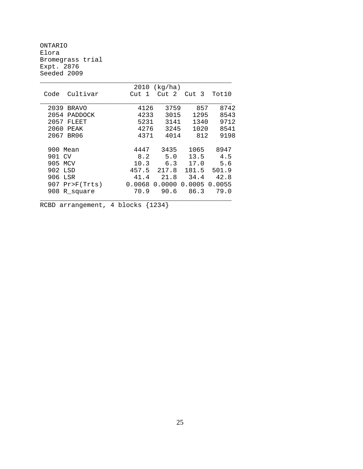ONTARIO Elora Bromegrass trial Expt. 2876 Seeded 2009

|                       | 2010   | (kg/ha) |                  |        |
|-----------------------|--------|---------|------------------|--------|
| Cultivar<br>Code      | Cut 1  | Cut 2   | Cut <sub>3</sub> | Tot10  |
| 2039<br><b>BRAVO</b>  | 4126   | 3759    | 857              | 8742   |
| 2054<br>PADDOCK       | 4233   | 3015    | 1295             | 8543   |
| 2057<br>FLEET         | 5231   | 3141    | 1340             | 9712   |
| 2060<br>PEAK          | 4276   | 3245    | 1020             | 8541   |
| 2067 BR06             | 4371   | 4014    | 812              | 9198   |
|                       |        |         |                  |        |
| Mean<br>900.          | 4447   | 3435    | 1065             | 8947   |
| 901 CV                | 8.2    | 5.0     | 13.5             | 4.5    |
| 905 MCV               | 10.3   | 6.3     | 17.0             | 5.6    |
| 902 LSD               | 457.5  | 217.8   | 181.5            | 501.9  |
| 906<br>LSR            | 41.4   | 21.8    | 34.4             | 42.8   |
| 907<br>$Pr$ $F(Trts)$ | 0.0068 | 0.0000  | 0.0005           | 0.0055 |
| 908<br>R square       | 70.9   | 90.6    | 86.3             | 79.0   |
|                       |        |         |                  |        |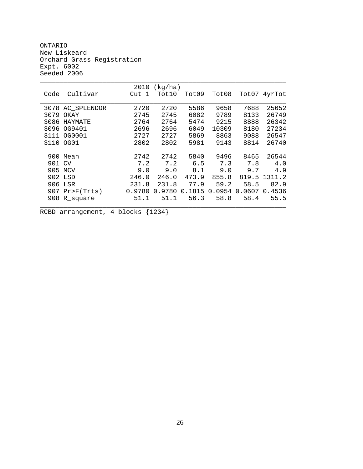ONTARIO New Liskeard Orchard Grass Registration Expt. 6002 Seeded 2006

|      |                | 2010   | (kg/ha) |        |        |        |        |
|------|----------------|--------|---------|--------|--------|--------|--------|
| Code | Cultivar       | Cut 1  | Tot10   | Tot09  | Tot08  | Tot07  | 4yrTot |
|      |                |        |         |        |        |        |        |
| 3078 | AC_SPLENDOR    | 2720   | 2720    | 5586   | 9658   | 7688   | 25652  |
| 3079 | OKAY           | 2745   | 2745    | 6082   | 9789   | 8133   | 26749  |
| 3086 | HAYMATE        | 2764   | 2764    | 5474   | 9215   | 8888   | 26342  |
| 3096 | OG9401         | 2696   | 2696    | 6049   | 10309  | 8180   | 27234  |
| 3111 | OG0001         | 2727   | 2727    | 5869   | 8863   | 9088   | 26547  |
| 3110 | OG01           | 2802   | 2802    | 5981   | 9143   | 8814   | 26740  |
|      |                |        |         |        |        |        |        |
| 900  | Mean           | 2742   | 2742    | 5840   | 9496   | 8465   | 26544  |
| 901  | <b>CV</b>      | 7.2    | 7.2     | 6.5    | 7.3    | 7.8    | 4.0    |
| 905  | MCV            | 9.0    | 9.0     | 8.1    | 9.0    | 9.7    | 4.9    |
| 902  | LSD            | 246.0  | 246.0   | 473.9  | 855.8  | 819.5  | 1311.2 |
| 906  | LSR            | 231.8  | 231.8   | 77.9   | 59.2   | 58.5   | 82.9   |
| 907  | $Pr$ $F(Trts)$ | 0.9780 | 0.9780  | 0.1815 | 0.0954 | 0.0607 | 0.4536 |
| 908  | R square       | 51.1   | 51.1    | 56.3   | 58.8   | 58.4   | 55.5   |
|      |                |        |         |        |        |        |        |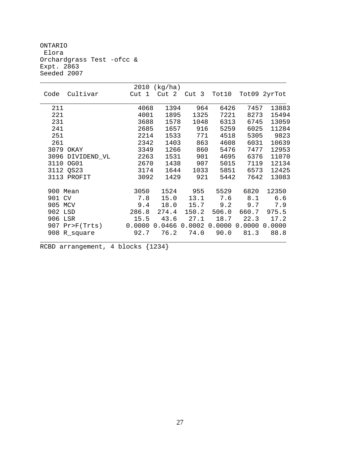ONTARIO Elora Orchardgrass Test -ofcc & Expt. 2863 Seeded 2007

|          |                | 2010   | (kg/ha) |        |        |        |              |
|----------|----------------|--------|---------|--------|--------|--------|--------------|
| Code     | Cultivar       | Cut 1  | Cut 2   | Cut 3  | Tot10  |        | Tot09 2yrTot |
| 211      |                | 4068   | 1394    | 964    | 6426   | 7457   | 13883        |
| 221      |                | 4001   | 1895    | 1325   | 7221   | 8273   | 15494        |
| 231      |                | 3688   | 1578    | 1048   | 6313   | 6745   | 13059        |
| 241      |                | 2685   | 1657    | 916    | 5259   | 6025   | 11284        |
| 251      |                | 2214   | 1533    | 771    | 4518   | 5305   | 9823         |
| 261      |                | 2342   | 1403    | 863    | 4608   | 6031   | 10639        |
| 3079     | OKAY           | 3349   | 1266    | 860    | 5476   | 7477   | 12953        |
| 3096     | DIVIDEND_VL    | 2263   | 1531    | 901    | 4695   | 6376   | 11070        |
| 3110     | OG01           | 2670   | 1438    | 907    | 5015   | 7119   | 12134        |
|          | 3112 QS23      | 3174   | 1644    | 1033   | 5851   | 6573   | 12425        |
|          | 3113 PROFIT    | 3092   | 1429    | 921    | 5442   | 7642   | 13083        |
| 900 Mean |                | 3050   | 1524    | 955    | 5529   | 6820   | 12350        |
| 901 CV   |                | 7.8    | 15.0    | 13.1   | 7.6    | 8.1    | 6.6          |
| 905 MCV  |                | 9.4    | 18.0    | 15.7   | 9.2    | 9.7    | 7.9          |
| 902 LSD  |                | 286.8  | 274.4   | 150.2  | 506.0  | 660.7  | 975.5        |
| 906 LSR  |                | 15.5   | 43.6    | 27.1   | 18.7   | 22.3   | 17.2         |
|          | 907 Pr>F(Trts) | 0.0000 | 0.0466  | 0.0002 | 0.0000 | 0.0000 | 0.0000       |
|          | 908 R_square   | 92.7   | 76.2    | 74.0   | 90.0   | 81.3   | 88.8         |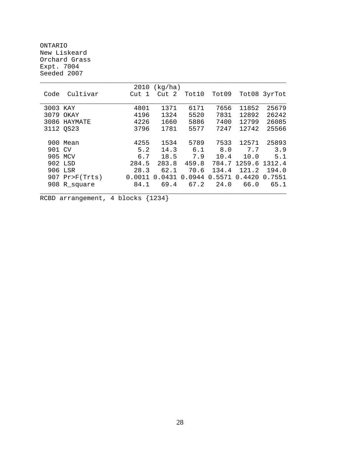ONTARIO New Liskeard Orchard Grass Expt. 7004 Seeded 2007

|          |                  | 2010   | (kg/ha) |        |        |              |              |
|----------|------------------|--------|---------|--------|--------|--------------|--------------|
| Code     | Cultivar         | Cut 1  | Cut 2   | Tot10  | Tot09  |              | Tot08 3yrTot |
|          |                  |        |         |        |        |              |              |
| 3003 KAY |                  | 4801   | 1371    | 6171   | 7656   | 11852        | 25679        |
|          | 3079 OKAY        | 4196   | 1324    | 5520   | 7831   | 12892        | 26242        |
| 3086     | HAYMATE          | 4226   | 1660    | 5886   | 7400   | 12799        | 26085        |
|          | 3112 QS23        | 3796   | 1781    | 5577   | 7247   | 12742        | 25566        |
|          |                  |        |         |        |        |              |              |
|          | 900 Mean         | 4255   | 1534    | 5789   | 7533   | 12571        | 25893        |
| 901 CV   |                  | 5.2    | 14.3    | 6.1    | 8.0    | 7.7          | 3.9          |
|          | 905 MCV          | 6.7    | 18.5    | 7.9    | 10.4   | 10.0         | 5.1          |
|          | 902 LSD          | 284.5  | 283.8   | 459.8  |        | 784.7 1259.6 | 1312.4       |
|          | 906 LSR          | 28.3   | 62.1    | 70.6   | 134.4  | 121.2        | 194.0        |
|          | $907$ Pr>F(Trts) | 0.0011 | 0.0431  | 0.0944 | 0.5571 | 0.4420       | 0.7551       |
|          | 908 R_square     | 84.1   | 69.4    | 67.2   | 24.0   | 66.0         | 65.1         |
|          |                  |        |         |        |        |              |              |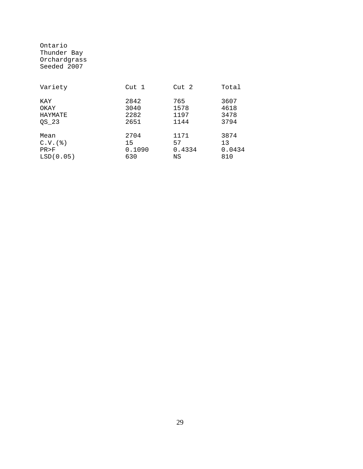| Ontario      |  |
|--------------|--|
| Thunder Bay  |  |
| Orchardgrass |  |
| Seeded 2007  |  |

| Variety        | Cut 1  | Cut 2  | Total  |
|----------------|--------|--------|--------|
| KAY            | 2842   | 765    | 3607   |
| OKAY           | 3040   | 1578   | 4618   |
| HAYMATE        | 2282   | 1197   | 3478   |
| OS 23          | 2651   | 1144   | 3794   |
| Mean           | 2704   | 1171   | 3874   |
| $C.V.$ $($ $)$ | 15     | 57     | 13     |
| PR > F         | 0.1090 | 0.4334 | 0.0434 |
| LSD(0.05)      | 630    | ΝS     | 810    |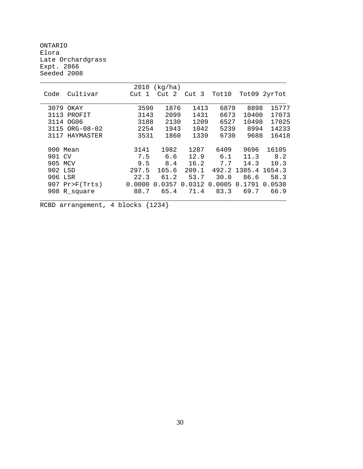ONTARIO Elora Late Orchardgrass Expt. 2866 Seeded 2008

|                   | 2010   | (kg/ha) |        |        |        |        |
|-------------------|--------|---------|--------|--------|--------|--------|
| Cultivar<br>Code  | Cut 1  | Cut 2   | Cut 3  | Tot10  | Tot09  | 2yrTot |
|                   |        |         |        |        |        |        |
| 3079 OKAY         | 3590   | 1876    | 1413   | 6879   | 8898   | 15777  |
| 3113<br>PROFIT    | 3143   | 2099    | 1431   | 6673   | 10400  | 17073  |
| 3114 OG06         | 3188   | 2130    | 1209   | 6527   | 10498  | 17025  |
| 3115 ORG-08-02    | 2254   | 1943    | 1042   | 5239   | 8994   | 14233  |
| 3117<br>HAYMASTER | 3531   | 1860    | 1339   | 6730   | 9688   | 16418  |
|                   |        |         |        |        |        |        |
| 900 Mean          | 3141   | 1982    | 1287   | 6409   | 9696   | 16105  |
| 901 CV            | 7.5    | 6.6     | 12.9   | 6.1    | 11.3   | 8.2    |
| 905 MCV           | 9.5    | 8.4     | 16.2   | 7.7    | 14.3   | 10.3   |
| 902 LSD           | 297.5  | 165.6   | 209.1  | 492.2  | 1385.4 | 1654.3 |
| 906 LSR           | 22.3   | 61.2    | 53.7   | 30.0   | 86.6   | 58.3   |
| $907$ Pr>F(Trts)  | 0.0000 | 0.0357  | 0.0312 | 0.0005 | 0.1791 | 0.0530 |
| 908 R_square      | 88.7   | 65.4    | 71.4   | 83.3   | 69.7   | 66.9   |
|                   |        |         |        |        |        |        |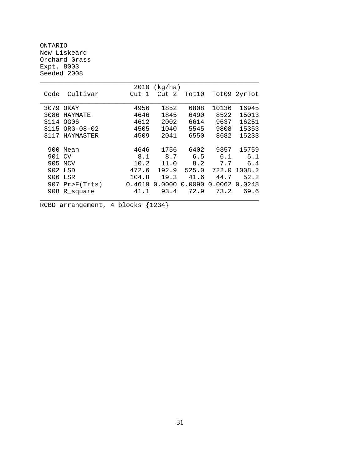ONTARIO New Liskeard Orchard Grass Expt. 8003 Seeded 2008

|         |                  | 2010   | (kg/ha) |        |        |              |
|---------|------------------|--------|---------|--------|--------|--------------|
| Code    | Cultivar         | Cut 1  | Cut 2   | Tot10  |        | Tot09 2yrTot |
|         |                  |        |         |        |        |              |
| 3079    | OKAY             | 4956   | 1852    | 6808   | 10136  | 16945        |
| 3086    | HAYMATE          | 4646   | 1845    | 6490   | 8522   | 15013        |
| 3114    | OG06             | 4612   | 2002    | 6614   | 9637   | 16251        |
|         | 3115 ORG-08-02   | 4505   | 1040    | 5545   | 9808   | 15353        |
|         | 3117 HAYMASTER   | 4509   | 2041    | 6550   | 8682   | 15233        |
|         |                  |        |         |        |        |              |
| 900     | Mean             | 4646   | 1756    | 6402   | 9357   | 15759        |
| 901 CV  |                  | 8.1    | 8.7     | 6.5    | 6.1    | 5.1          |
| 905 MCV |                  | 10.2   | 11.0    | 8.2    | 7.7    | 6.4          |
| 902 LSD |                  | 472.6  | 192.9   | 525.0  | 722.0  | 1008.2       |
|         | 906 LSR          | 104.8  | 19.3    | 41.6   | 44.7   | 52.2         |
|         | $907$ Pr>F(Trts) | 0.4619 | 0.0000  | 0.0090 | 0.0062 | 0.0248       |
| 908     | R_square         | 41.1   | 93.4    | 72.9   | 73.2   | 69.6         |
|         |                  |        |         |        |        |              |
|         |                  |        |         |        |        |              |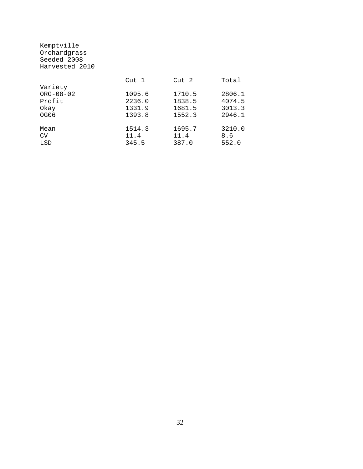| Orchardgrass<br>Seeded 2008 |        |        |        |
|-----------------------------|--------|--------|--------|
| Harvested 2010              |        |        |        |
|                             | Cut 1  | Cut 2  | Total  |
| Variety                     |        |        |        |
| $ORG-08-02$                 | 1095.6 | 1710.5 | 2806.1 |
| Profit                      | 2236.0 | 1838.5 | 4074.5 |
| Okay                        | 1331.9 | 1681.5 | 3013.3 |
| OG06                        | 1393.8 | 1552.3 | 2946.1 |
| Mean                        | 1514.3 | 1695.7 | 3210.0 |
| CV                          | 11.4   | 11.4   | 8.6    |
| LSD                         | 345.5  | 387.0  | 552.0  |

Kemptville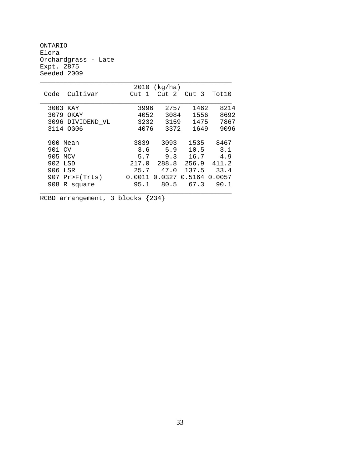ONTARIO Elora Orchardgrass - Late Expt. 2875 Seeded 2009

|                  | 2010   | (kg/ha)          |               |       |
|------------------|--------|------------------|---------------|-------|
| Cultivar<br>Code | Cut 1  | Cut <sub>2</sub> | Cut 3         | Tot10 |
| 3003 KAY         | 3996   | 2757             | 1462          | 8214  |
| 3079<br>OKAY     | 4052   | 3084             | 1556          | 8692  |
| 3096 DIVIDEND VL | 3232   | 3159             | 1475          | 7867  |
| 3114 OG06        | 4076   | 3372             | 1649          | 9096  |
|                  |        |                  |               |       |
| 900 Mean         | 3839   | 3093             | 1535          | 8467  |
| 901 CV           | 3.6    | 5.9              | 10.5          | 3.1   |
| 905 MCV          | 5.7    | 9.3              | 16.7          | 4.9   |
| 902 LSD          | 217.0  | 288.8            | 256.9         | 411.2 |
| 906 LSR          | 25.7   | 47.0             | 137.5         | 33.4  |
| $907$ Pr>F(Trts) | 0.0011 | 0.0327           | 0.5164 0.0057 |       |
| 908<br>R_square  | 95.1   | 80.5             | 67.3          | 90.1  |
|                  |        |                  |               |       |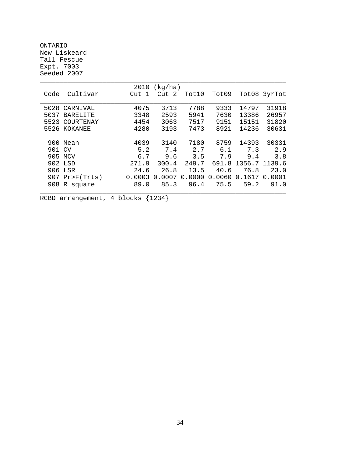ONTARIO New Liskeard Tall Fescue Expt. 7003 Seeded 2007

|        |                  | 2010   | (kg/ha) |        |        |               |              |
|--------|------------------|--------|---------|--------|--------|---------------|--------------|
| Code   | Cultivar         | Cut    | Cut 2   | Tot10  | Tot09  |               | Tot08 3yrTot |
|        |                  |        |         |        |        |               |              |
| 5028   | CARNIVAL         | 4075   | 3713    | 7788   | 9333   | 14797         | 31918        |
| 5037   | <b>BARELITE</b>  | 3348   | 2593    | 5941   | 7630   | 13386         | 26957        |
| 5523   | COURTENAY        | 4454   | 3063    | 7517   | 9151   | 15151         | 31820        |
|        | 5526 KOKANEE     | 4280   | 3193    | 7473   | 8921   | 14236         | 30631        |
|        |                  |        |         |        |        |               |              |
|        | 900 Mean         | 4039   | 3140    | 7180   | 8759   | 14393         | 30331        |
| 901 CV |                  | 5.2    | 7.4     | 2.7    | 6.1    | 7.3           | 2.9          |
|        | 905 MCV          | 6.7    | 9.6     | 3.5    | 7.9    | 9.4           | 3.8          |
|        | 902 LSD          | 271.9  | 300.4   | 249.7  | 691.8  | 1356.7 1139.6 |              |
|        | 906 LSR          | 24.6   | 26.8    | 13.5   | 40.6   | 76.8          | 23.0         |
|        | $907$ Pr>F(Trts) | 0.0003 | 0.0007  | 0.0000 | 0.0060 | 0.1617        | 0.0001       |
| 908    | R_square         | 89.0   | 85.3    | 96.4   | 75.5   | 59.2          | 91.0         |
|        |                  |        |         |        |        |               |              |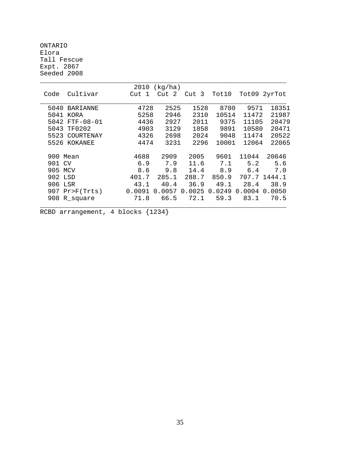ONTARIO Elora Tall Fescue Expt. 2867 Seeded 2008

|                         | 2010       | (kg/ha) |                    |        |        |        |
|-------------------------|------------|---------|--------------------|--------|--------|--------|
| Cultivar<br>Code        | Cut<br>- 1 | Cut 2   | Cut 3              | Tot10  | Tot09  | 2yrTot |
|                         |            |         |                    |        |        |        |
| 5040<br><b>BARIANNE</b> | 4728       | 2525    | 1528               | 8780   | 9571   | 18351  |
| 5041<br>KORA            | 5258       | 2946    | 2310               | 10514  | 11472  | 21987  |
| $FTF-08-01$<br>5042     | 4436       | 2927    | 2011               | 9375   | 11105  | 20479  |
| 5043<br>TF0202          | 4903       | 3129    | 1858               | 9891   | 10580  | 20471  |
| 5523<br>COURTENAY       | 4326       | 2698    | 2024               | 9048   | 11474  | 20522  |
| 5526<br>KOKANEE         | 4474       | 3231    | 2296               | 10001  | 12064  | 22065  |
| 900<br>Mean             | 4688       | 2909    | 2005               | 9601   | 11044  | 20646  |
| 901<br>CV               | 6.9        | 7.9     | 11.6               | 7.1    | 5.2    | 5.6    |
| 905<br><b>MCV</b>       | 8.6        | 9.8     | 14.4               | 8.9    | 6.4    | 7.0    |
| 902<br>LSD              | 401.7      | 285.1   | 288.7              | 850.9  | 707.7  | 1444.1 |
| 906<br>LSR              | 43.1       | 40.4    | 36.9               | 49.1   | 28.4   | 38.9   |
| 907<br>$Pr$ $F(Trts)$   | 0.0091     | 0.0057  | 0025<br>$\Omega$ . | 0.0249 | 0.0004 | 0.0050 |
| 908<br>R_square         | 71.8       | 66.5    | 72.1               | 59.3   | 83.1   | 70.5   |
|                         |            |         |                    |        |        |        |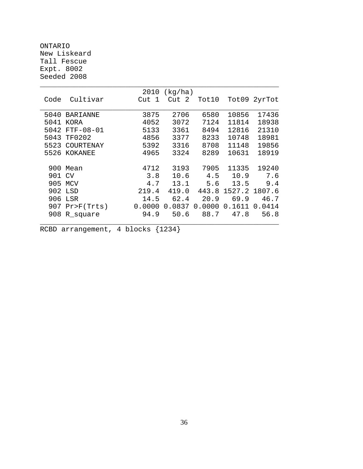ONTARIO New Liskeard Tall Fescue Expt. 8002 Seeded 2008

|      |                | 2010   | (kg/ha)    |        |        |              |
|------|----------------|--------|------------|--------|--------|--------------|
| Code | Cultivar       | Cut 1  | Cut<br>- 2 | Tot10  |        | Tot09 2yrTot |
|      |                |        |            |        |        |              |
| 5040 | BARIANNE       | 3875   | 2706       | 6580   | 10856  | 17436        |
| 5041 | <b>KORA</b>    | 4052   | 3072       | 7124   | 11814  | 18938        |
| 5042 | $FTF-08-01$    | 5133   | 3361       | 8494   | 12816  | 21310        |
| 5043 | TF0202         | 4856   | 3377       | 8233   | 10748  | 18981        |
| 5523 | COURTENAY      | 5392   | 3316       | 8708   | 11148  | 19856        |
| 5526 | KOKANEE        | 4965   | 3324       | 8289   | 10631  | 18919        |
|      |                |        |            |        |        |              |
| 900  | Mean           | 4712   | 3193       | 7905   | 11335  | 19240        |
| 901  | CV             | 3.8    | 10.6       | 4.5    | 10.9   | 7.6          |
| 905  | MCV            | 4.7    | 13.1       | 5.6    | 13.5   | 9.4          |
| 902  | LSD            | 219.4  | 419.0      | 443.8  | 1527.2 | 1807.6       |
| 906  | LSR            | 14.5   | 62.4       | 20.9   | 69.9   | 46.7         |
| 907  | $Pr$ $F(Trts)$ | 0.0000 | 0.0837     | 0.0000 | 0.1611 | 0.0414       |
| 908  | R_square       | 94.9   | 50.6       | 88.7   | 47.8   | 56.8         |
|      |                |        |            |        |        |              |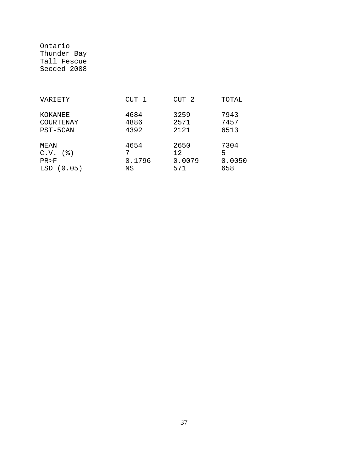Ontario Thunder Bay Tall Fescue Seeded 2008

| VARIETY                                          | CUT 1                | CUT <sub>2</sub>             | TOTAL                      |
|--------------------------------------------------|----------------------|------------------------------|----------------------------|
| KOKANEE<br>COURTENAY<br>PST-5CAN                 | 4684<br>4886<br>4392 | 3259<br>2571<br>2121         | 7943<br>7457<br>6513       |
| MEAN<br>( 웅 )<br>C.V.<br>PR > F<br>LSD<br>(0.05) | 4654<br>0.1796<br>ΝS | 2650<br>12.<br>0.0079<br>571 | 7304<br>5<br>0.0050<br>658 |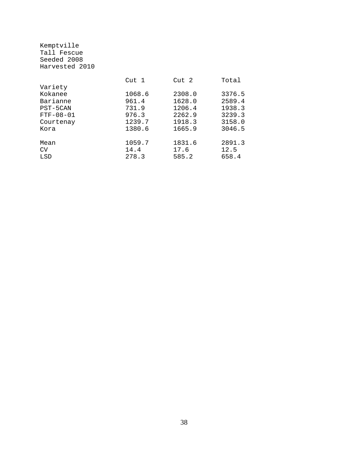|        |        | Total  |
|--------|--------|--------|
|        |        |        |
| 1068.6 | 2308.0 | 3376.5 |
| 961.4  | 1628.0 | 2589.4 |
| 731.9  | 1206.4 | 1938.3 |
| 976.3  | 2262.9 | 3239.3 |
| 1239.7 | 1918.3 | 3158.0 |
| 1380.6 | 1665.9 | 3046.5 |
| 1059.7 | 1831.6 | 2891.3 |
| 14.4   | 17.6   | 12.5   |
| 278.3  | 585.2  | 658.4  |
|        | Cut 1  | Cut 2  |

Kemptville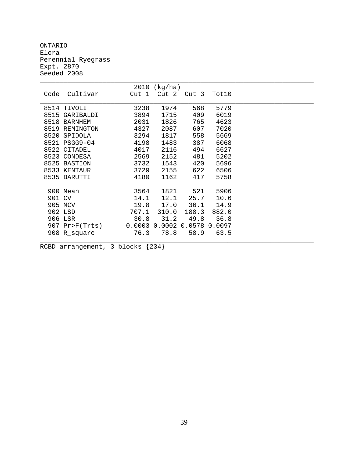ONTARIO Elora Perennial Ryegrass Expt. 2870 Seeded 2008

|        |                  | 2010   | (kg/ha) |        |        |  |
|--------|------------------|--------|---------|--------|--------|--|
| Code   | Cultivar         | Cut 1  | Cut 2   | Cut 3  | Tot10  |  |
|        |                  |        |         |        |        |  |
|        | 8514 TIVOLI      | 3238   | 1974    | 568    | 5779   |  |
| 8515   | GARIBALDI        | 3894   | 1715    | 409    | 6019   |  |
|        | 8518 BARNHEM     | 2031   | 1826    | 765    | 4623   |  |
| 8519   | REMINGTON        | 4327   | 2087    | 607    | 7020   |  |
| 8520   | SPIDOLA          | 3294   | 1817    | 558    | 5669   |  |
|        | 8521 PSGG9-04    | 4198   | 1483    | 387    | 6068   |  |
|        | 8522 CITADEL     | 4017   | 2116    | 494    | 6627   |  |
|        | 8523 CONDESA     | 2569   | 2152    | 481    | 5202   |  |
| 8525   | <b>BASTION</b>   | 3732   | 1543    | 420    | 5696   |  |
|        | 8533 KENTAUR     | 3729   | 2155    | 622    | 6506   |  |
|        | 8535 BARUTTI     | 4180   | 1162    | 417    | 5758   |  |
|        |                  |        |         |        |        |  |
|        | 900 Mean         | 3564   | 1821    | 521    | 5906   |  |
| 901 CV |                  | 14.1   | 12.1    | 25.7   | 10.6   |  |
|        | 905 MCV          | 19.8   | 17.0    | 36.1   | 14.9   |  |
|        | 902 LSD          | 707.1  | 310.0   | 188.3  | 882.0  |  |
|        | 906 LSR          | 30.8   | 31.2    | 49.8   | 36.8   |  |
|        | 907 $Pr>F(Trts)$ | 0.0003 | 0.0002  | 0.0578 | 0.0097 |  |
|        | 908 R_square     | 76.3   | 78.8    | 58.9   | 63.5   |  |
|        |                  |        |         |        |        |  |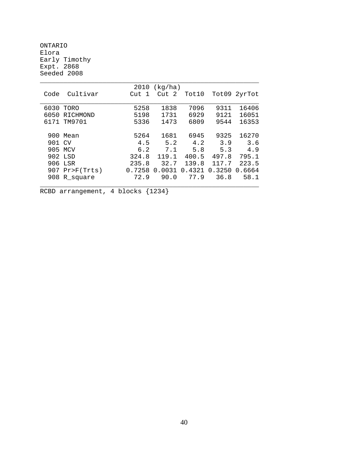ONTARIO Elora Early Timothy Expt. 2868 Seeded 2008

|        |                | 2010   | (kg/ha)          |        |        |              |
|--------|----------------|--------|------------------|--------|--------|--------------|
| Code   | Cultivar       | Cut 1  | Cut <sub>2</sub> | Tot10  |        | Tot09 2yrTot |
|        |                |        |                  |        |        |              |
| 6030   | TORO           | 5258   | 1838             | 7096   | 9311   | 16406        |
| 6050   | RICHMOND       | 5198   | 1731             | 6929   | 9121   | 16051        |
|        | 6171 TM9701    | 5336   | 1473             | 6809   | 9544   | 16353        |
|        |                |        |                  |        |        |              |
|        | 900 Mean       | 5264   | 1681             | 6945   | 9325   | 16270        |
| 901 CV |                | 4.5    | 5.2              | 4.2    | 3.9    | 3.6          |
|        | 905 MCV        | 6.2    | 7.1              | 5.8    | 5.3    | 4.9          |
|        | 902 LSD        | 324.8  | 119.1            | 400.5  | 497.8  | 795.1        |
|        | 906 LSR        | 235.8  | 32.7             | 139.8  | 117.7  | 223.5        |
|        | 907 Pr>F(Trts) | 0.7258 | 0.0031           | 0.4321 | 0.3250 | 0.6664       |
|        | 908 R square   | 72.9   | 90.0             | 77.9   | 36.8   | 58.1         |
|        |                |        |                  |        |        |              |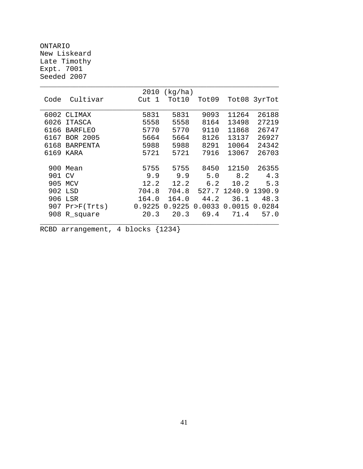ONTARIO New Liskeard Late Timothy Expt. 7001 Seeded 2007

|      |                 | 2010   | (kg/ha) |        |        |              |
|------|-----------------|--------|---------|--------|--------|--------------|
| Code | Cultivar        | Cut 1  | Tot10   | Tot09  |        | Tot08 3yrTot |
|      |                 |        |         |        |        |              |
| 6002 | CLIMAX          | 5831   | 5831    | 9093   | 11264  | 26188        |
| 6026 | ITASCA          | 5558   | 5558    | 8164   | 13498  | 27219        |
| 6166 | <b>BARFLEO</b>  | 5770   | 5770    | 9110   | 11868  | 26747        |
| 6167 | BOR 2005        | 5664   | 5664    | 8126   | 13137  | 26927        |
| 6168 | <b>BARPENTA</b> | 5988   | 5988    | 8291   | 10064  | 24342        |
| 6169 | KARA            | 5721   | 5721    | 7916   | 13067  | 26703        |
|      |                 |        |         |        |        |              |
| 900  | Mean            | 5755   | 5755    | 8450   | 12150  | 26355        |
| 901  | CV              | 9.9    | 9.9     | 5.0    | 8.2    | 4.3          |
| 905  | MCV             | 12.2   | 12.2    | 6.2    | 10.2   | 5.3          |
| 902  | LSD             | 704.8  | 704.8   | 527.7  | 1240.9 | 1390.9       |
| 906  | LSR             | 164.0  | 164.0   | 44.2   | 36.1   | 48.3         |
| 907  | $Pr$ $F(Trts)$  | 0.9225 | 0.9225  | 0.0033 | 0.0015 | 0.0284       |
| 908  | R_square        | 20.3   | 20.3    | 69.4   | 71.4   | 57.0         |
|      |                 |        |         |        |        |              |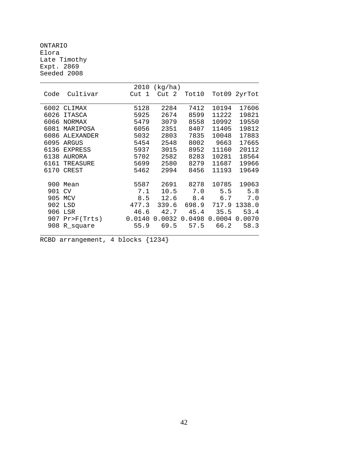ONTARIO Elora Late Timothy Expt. 2869 Seeded 2008

|        |                | 2010  | (kg/ha)              |           |                    |               |
|--------|----------------|-------|----------------------|-----------|--------------------|---------------|
| Code   | Cultivar       | Cut 1 | Cut 2                | Tot10     |                    | Tot09 2yrTot  |
|        |                |       |                      |           |                    |               |
|        | 6002 CLIMAX    | 5128  | 2284                 | 7412      | 10194              | 17606         |
| 6026   | ITASCA         | 5925  | 2674                 | 8599      | 11222              | 19821         |
| 6066   | NORMAX         | 5479  | 3079                 | 8558      | 10992              | 19550         |
| 6081   | MARIPOSA       | 6056  | 2351                 | 8407      | 11405              | 19812         |
| 6086   | ALEXANDER      | 5032  | 2803                 | 7835      | 10048              | 17883         |
| 6095   | ARGUS          | 5454  | 2548                 |           | 8002 9663          | 17665         |
|        | 6136 EXPRESS   | 5937  | 3015                 | 8952      | 11160              | 20112         |
| 6138   | AURORA         | 5702  | 2582                 | 8283      | 10281              | 18564         |
| 6161   | TREASURE       | 5699  | 2580                 | 8279      | 11687              | 19966         |
|        | 6170 CREST     | 5462  | 2994                 | 8456      | 11193              | 19649         |
|        |                |       |                      |           |                    |               |
|        | 900 Mean       | 5587  |                      | 2691 8278 | 10785              | 19063         |
| 901 CV |                | 7.1   |                      | 10.5 7.0  | 5.5                | 5.8           |
|        | 905 MCV        | 8.5   | 12.6                 | 8.4       | 6.7                | 7.0           |
|        | 902 LSD        | 477.3 | 339.6                |           | 698.9 717.9 1338.0 |               |
|        | 906 LSR        | 46.6  |                      | 42.7 45.4 | 35.5               | 53.4          |
|        | 907 Pr>F(Trts) |       | 0.0140 0.0032 0.0498 |           |                    | 0.0004 0.0070 |
|        | 908 R_square   | 55.9  | 69.5                 | 57.5      | 66.2               | 58.3          |
|        |                |       |                      |           |                    |               |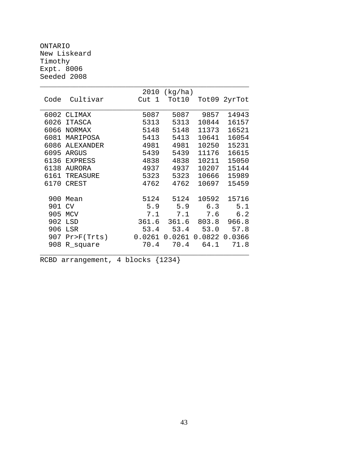ONTARIO New Liskeard Timothy Expt. 8006 Seeded 2008

|      |               | 2010             | (kg/ha)           |       |              |
|------|---------------|------------------|-------------------|-------|--------------|
| Code | Cultivar      | Cut <sub>1</sub> | Tot10             |       | Tot09 2yrTot |
|      |               |                  |                   |       |              |
|      | 6002 CLIMAX   | 5087             | 5087              | 9857  | 14943        |
| 6026 | <b>ITASCA</b> | 5313             | 5313              | 10844 | 16157        |
| 6066 | <b>NORMAX</b> | 5148             | 5148              | 11373 | 16521        |
| 6081 | MARIPOSA      | 5413             | 5413              | 10641 | 16054        |
| 6086 | ALEXANDER     | 4981             | 4981              | 10250 | 15231        |
| 6095 | ARGUS         | 5439             | 5439              | 11176 | 16615        |
|      | 6136 EXPRESS  | 4838             | 4838              | 10211 | 15050        |
| 6138 | <b>AURORA</b> | 4937             | 4937              | 10207 | 15144        |
| 6161 | TREASURE      | 5323             | 5323              | 10666 | 15989        |
| 6170 | <b>CREST</b>  | 4762             | 4762              | 10697 | 15459        |
| 900  | Mean          | 5124             | 5124              | 10592 | 15716        |
| 901  | CV            | 5.9              | 5.9               | 6.3   | 5.1          |
| 905  | MCV           | 7.1              | 7.1               | 7.6   | 6.2          |
| 902  | LSD           | 361.6            | 361.6             | 803.8 | 966.8        |
| 906  | LSR           | 53.4             | 53.4              | 53.0  | 57.8         |
| 907  | Pr>F(Trts)    | 0.0261           | $0.0261$ $0.0822$ |       | 0.0366       |
| 908  | R_square      | 70.4             | 70.4              | 64.1  | 71.8         |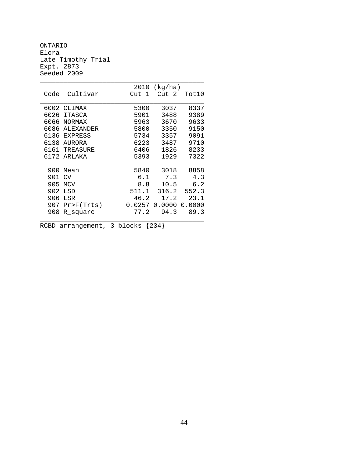ONTARIO Elora Late Timothy Trial Expt. 2873 Seeded 2009

|      |                  | 2010       | (kq/ha) |        |
|------|------------------|------------|---------|--------|
| Code | Cultivar         | Cut<br>- 1 | Cut 2   | Tot10  |
|      |                  |            |         |        |
|      | 6002 CLIMAX      | 5300       | 3037    | 8337   |
| 6026 | <b>ITASCA</b>    | 5901       | 3488    | 9389   |
| 6066 | <b>NORMAX</b>    | 5963       | 3670    | 9633   |
| 6086 | <b>ALEXANDER</b> | 5800       | 3350    | 9150   |
| 6136 | <b>EXPRESS</b>   | 5734       | 3357    | 9091   |
| 6138 | AURORA           | 6223       | 3487    | 9710   |
| 6161 | TREASURE         | 6406       | 1826    | 8233   |
| 6172 | ARIAKA           | 5393       | 1929    | 7322   |
|      |                  |            |         |        |
| 900  | Mean             | 5840       | 3018    | 8858   |
| 901  | CV               | 6.1        | 7.3     | 4.3    |
| 905  | <b>MCV</b>       | 8.8        | 10.5    | 6.2    |
| 902  | LSD              | 511.1      | 316.2   | 552.3  |
| 906  | LSR              | 46.2       | 17.2    | 23.1   |
| 907  | Pr>F(Trts)       | 0.0257     | 0.0000  | 0.0000 |
| 908  | R_square         | 77.2       | 94.3    | 89.3   |
|      |                  |            |         |        |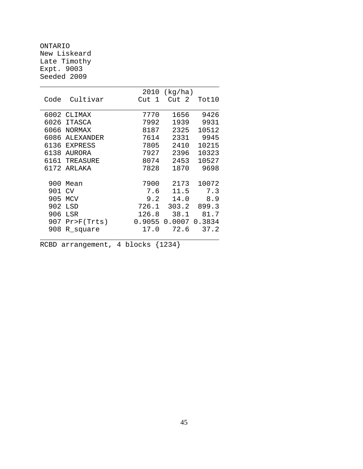ONTARIO New Liskeard Late Timothy Expt. 9003 Seeded 2009

|      |               | 2010   | (kq/ha) |        |
|------|---------------|--------|---------|--------|
| Code | Cultivar      | Cut 1  | Cut 2   | Tot10  |
|      |               |        |         |        |
|      | 6002 CLIMAX   | 7770   | 1656    | 9426   |
| 6026 | ITASCA        | 7992   | 1939    | 9931   |
| 6066 | <b>NORMAX</b> | 8187   | 2325    | 10512  |
| 6086 | ALEXANDER     | 7614   | 2331    | 9945   |
|      | 6136 EXPRESS  | 7805   | 2410    | 10215  |
| 6138 | AURORA        | 7927   | 2396    | 10323  |
| 6161 | TREASURE      | 8074   | 2453    | 10527  |
| 6172 | ARIAKA        | 7828   | 1870    | 9698   |
|      |               |        |         |        |
| 900  | Mean          | 7900   | 2173    | 10072  |
| 901  | <b>CV</b>     | 7.6    | 11.5    | 7.3    |
| 905  | MCV           | 9.2    | 14.0    | 8.9    |
| 902  | LSD           | 726.1  | 303.2   | 899.3  |
| 906  | LSR           | 126.8  | 38.1    | 81.7   |
| 907  | Pr>F(Trts)    | 0.9055 | 0.0007  | 0.3834 |
| 908  | R_square      | 17.0   | 72.6    | 37.2   |
|      |               |        |         |        |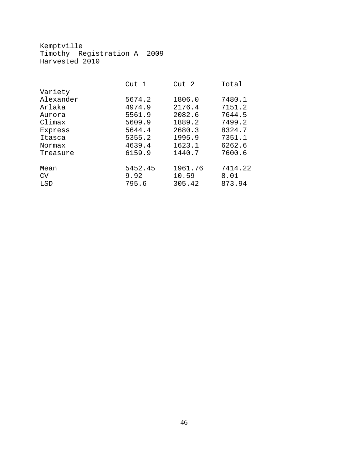Kemptville Timothy Registration A 2009 Harvested 2010

|           | Cut 1   | Cut 2   | Total   |
|-----------|---------|---------|---------|
| Variety   |         |         |         |
| Alexander | 5674.2  | 1806.0  | 7480.1  |
| Arlaka    | 4974.9  | 2176.4  | 7151.2  |
| Aurora    | 5561.9  | 2082.6  | 7644.5  |
| Climax    | 5609.9  | 1889.2  | 7499.2  |
| Express   | 5644.4  | 2680.3  | 8324.7  |
| Itasca    | 5355.2  | 1995.9  | 7351.1  |
| Normax    | 4639.4  | 1623.1  | 6262.6  |
| Treasure  | 6159.9  | 1440.7  | 7600.6  |
| Mean      | 5452.45 | 1961.76 | 7414.22 |
| CV        | 9.92    | 10.59   | 8.01    |
| LSD       | 795.6   | 305.42  | 873.94  |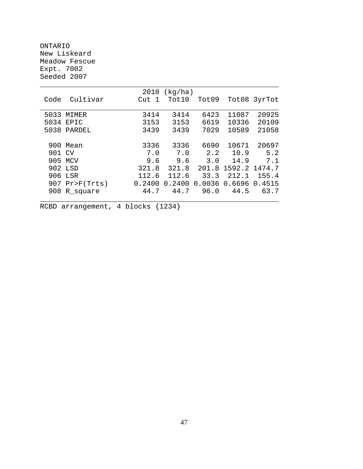ONTARIO New Liskeard Meadow Fescue Expt. 7002 Seeded 2007

|      |            | 2010             | (kq/ha) |        |               |              |
|------|------------|------------------|---------|--------|---------------|--------------|
| Code | Cultivar   | Cut <sub>1</sub> | Tot10   | Tot09  |               | Tot08 3yrTot |
|      |            |                  |         |        |               |              |
| 5033 | MIMER      | 3414             | 3414    | 6423   | 11087         | 20925        |
| 5034 | EPIC       | 3153             | 3153    | 6619   | 10336         | 20109        |
| 5038 | PARDEL     | 3439             | 3439    | 7029   | 10589         | 21058        |
|      |            |                  |         |        |               |              |
| 900  | Mean       | 3336             | 3336    | 6690   | 10671         | 20697        |
| 901  | CV         | 7.0              | 7.0     | 2.2    | 10.9          | 5.2          |
|      | 905 MCV    | 9.6              | 9.6     | 3.0    | 14.9          | 7.1          |
|      | 902 LSD    | 321.8            | 321.8   | 201.8  | 1592.2 1474.7 |              |
| 906  | LSR        | 112.6            | 112.6   | 33.3   | 212.1         | 155.4        |
| 907  | Pr>F(Trts) | 0.2400           | 0.2400  | 0.0036 | 0.6696        | 0.4515       |
| 908  | R square   | 44.7             | 44.7    | 96.0   | 44.5          | 63.7         |
|      |            |                  |         |        |               |              |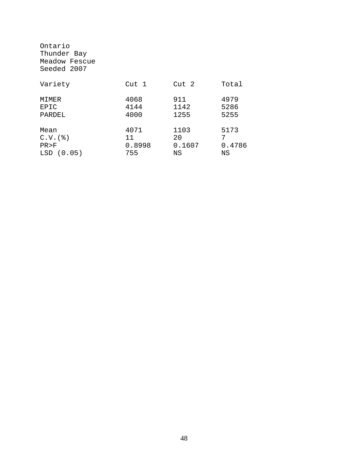| Ontario<br>Thunder Bay<br>Meadow Fescue<br>Seeded 2007 |        |        |        |
|--------------------------------------------------------|--------|--------|--------|
| Variety                                                | Cut 1  | Cut 2  | Total  |
| MIMER                                                  | 4068   | 911    | 4979   |
| EPIC                                                   | 4144   | 1142   | 5286   |
| PARDEL                                                 | 4000   | 1255   | 5255   |
| Mean                                                   | 4071   | 1103   | 5173   |
| $C.V.$ $($ $)$                                         | 11     | 20     | 7      |
| PR > F                                                 | 0.8998 | 0.1607 | 0.4786 |
| LSD(0.05)                                              | 755    | ΝS     | ΝS     |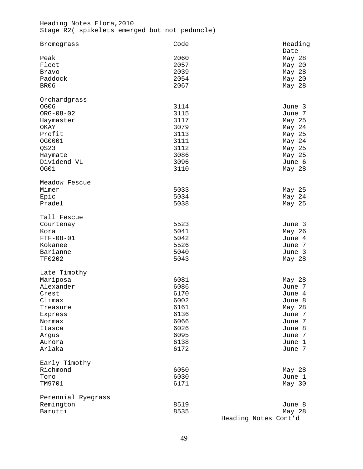Heading Notes Elora,2010 Stage R2( spikelets emerged but not peduncle)

| Bromegrass         | Code | Heading              |
|--------------------|------|----------------------|
|                    |      | Date                 |
| Peak               | 2060 | May 28               |
| Fleet              | 2057 | May 20               |
| Bravo              | 2039 | May 28               |
| Paddock            | 2054 | May 20               |
| BR06               | 2067 | May 28               |
| Orchardgrass       |      |                      |
| OG06               | 3114 | June 3               |
| $ORG - 08 - 02$    | 3115 | June 7               |
| Haymaster          | 3117 | May 25               |
| OKAY               | 3079 | May 24               |
| Profit             | 3113 | May 25               |
| OG0001             | 3111 | May 24               |
| QS23               | 3112 | May 25               |
| Haymate            | 3086 | May 25               |
| Dividend VL        | 3096 | June 6               |
| OG01               | 3110 | May 28               |
|                    |      |                      |
| Meadow Fescue      |      |                      |
| Mimer              | 5033 | May 25               |
| Epic               | 5034 | May 24               |
| Pradel             | 5038 | May 25               |
| Tall Fescue        |      |                      |
| Courtenay          | 5523 | June 3               |
| Kora               | 5041 | May 26               |
| $FTF - 08 - 01$    | 5042 | June 4               |
| Kokanee            | 5526 | June 7               |
| Barianne           | 5040 | June 3               |
| <b>TF0202</b>      | 5043 | May 28               |
| Late Timothy       |      |                      |
| Mariposa           | 6081 | May 28               |
| Alexander          | 6086 | June 7               |
| Crest              | 6170 | June 4               |
| Climax             | 6002 | June 8               |
| Treasure           | 6161 | May 28               |
| Express            | 6136 | June 7               |
| Normax             | 6066 | June 7               |
| Itasca             | 6026 | June 8               |
|                    | 6095 |                      |
| Argus              |      | June 7               |
| Aurora             | 6138 | June 1               |
| Arlaka             | 6172 | June 7               |
| Early Timothy      |      |                      |
| Richmond           | 6050 | May 28               |
| Toro               | 6030 | June 1               |
| TM9701             | 6171 | May 30               |
| Perennial Ryegrass |      |                      |
| Remington          | 8519 | June 8               |
| Barutti            | 8535 | May 28               |
|                    |      | Heading Notes Cont'd |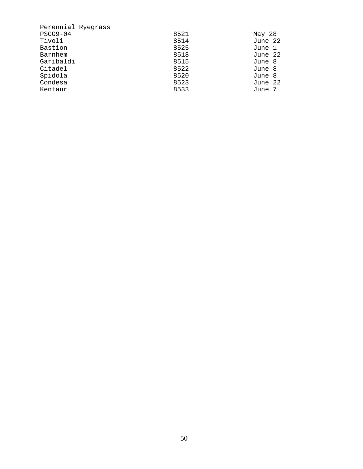| Perennial Ryegrass |      |         |
|--------------------|------|---------|
| $PSGG9-04$         | 8521 | May 28  |
| Tivoli             | 8514 | June 22 |
| Bastion            | 8525 | June 1  |
| Barnhem            | 8518 | June 22 |
| Garibaldi          | 8515 | June 8  |
| Citadel            | 8522 | June 8  |
| Spidola            | 8520 | June 8  |
| Condesa            | 8523 | June 22 |
| Kentaur            | 8533 | June 7  |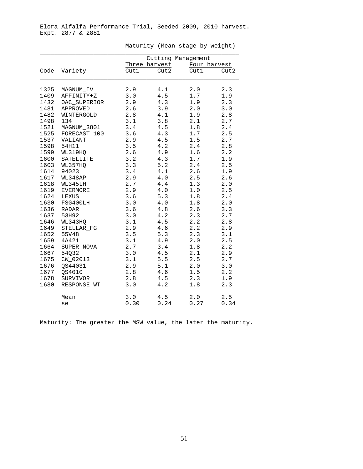|      |                 | Cutting Management<br>Three harvest<br>Four harvest |         |       |      |
|------|-----------------|-----------------------------------------------------|---------|-------|------|
| Code | Variety         | Cut1                                                | Cut2    | Cut1  | Cut2 |
|      |                 |                                                     |         |       |      |
| 1325 | MAGNUM IV       | 2.9                                                 | 4.1     | 2.0   | 2.3  |
| 1409 | AFFINITY+Z      | 3.0                                                 | 4.5     | 1.7   | 1.9  |
| 1432 | OAC SUPERIOR    | 2.9                                                 | 4.3     | 1.9   | 2.3  |
| 1481 | APPROVED        | 2.6                                                 | 3.9     | 2.0   | 3.0  |
| 1482 | WINTERGOLD      | 2.8                                                 | 4.1     | 1.9   | 2.8  |
| 1498 | 134             | 3.1                                                 | 3.8     | 2.1   | 2.7  |
| 1521 | MAGNUM_3801     | 3.4                                                 | 4.5     | 1.8   | 2.4  |
| 1525 | FORECAST_100    | 3.6                                                 | 4.3     | $1.7$ | 2.5  |
| 1537 | VALIANT         | 2.9                                                 | 4.5     | 1.5   | 2.7  |
| 1598 | 54H11           | 3.5                                                 | 4.2     | 2.4   | 2.8  |
| 1599 | WL319HQ         | 2.6                                                 | 4.9     | 1.6   | 2.2  |
| 1600 | SATELLITE       | 3.2                                                 | 4.3     | 1.7   | 1.9  |
| 1603 | WL357HQ         | 3.3                                                 | 5.2     | 2.4   | 2.5  |
| 1614 | 94023           | 3.4                                                 | 4.1     | 2.6   | 1.9  |
| 1617 | WL348AP         | 2.9                                                 | 4.0     | 2.5   | 2.6  |
| 1618 | WL345LH         | 2.7                                                 | 4.4     | 1.3   | 2.0  |
| 1619 | <b>EVERMORE</b> | 2.9                                                 | 4.0     | 1.0   | 2.5  |
| 1624 | LEXUS           | 3.6                                                 | 5.3     | 1.8   | 2.4  |
| 1630 | FSG400LH        | $3.0$                                               | $4.0\,$ | 1.8   | 2.0  |
| 1636 | <b>RADAR</b>    | 3.6                                                 | 4.8     | 2.6   | 3.3  |
| 1637 | 53H92           | 3.0                                                 | 4.2     | 2.3   | 2.7  |
| 1646 | WL343HQ         | 3.1                                                 | 4.5     | 2.2   | 2.8  |
| 1649 | STELLAR FG      | 2.9                                                 | 4.6     | 2.2   | 2.9  |
| 1652 | 55V48           | 3.5                                                 | 5.3     | 2.3   | 3.1  |
| 1659 | 4A421           | 3.1                                                 | 4.9     | 2.0   | 2.5  |
| 1664 | SUPER NOVA      | 2.7                                                 | 3.4     | 1.8   | 2.2  |
| 1667 | 54032           | 3.0                                                 | 4.5     | 2.1   | 2.9  |
| 1675 | CW_02013        | 3.1                                                 | 5.5     | 2.5   | 2.7  |
| 1676 | QS44031         | 2.9                                                 | 5.1     | 2.0   | 3.0  |
| 1677 | QS4010          | 2.8                                                 | 4.6     | 1.5   | 2.2  |
| 1678 | SURVIVOR        | 2.8                                                 | 4.5     | 2.3   | 1.9  |
| 1680 | RESPONSE_WT     | 3.0                                                 | 4.2     | 1.8   | 2.3  |
|      | Mean            | 3.0                                                 | 4.5     | 2.0   | 2.5  |
|      | se              | 0.30                                                | 0.24    | 0.27  | 0.34 |

Maturity (Mean stage by weight)

Maturity: The greater the MSW value, the later the maturity.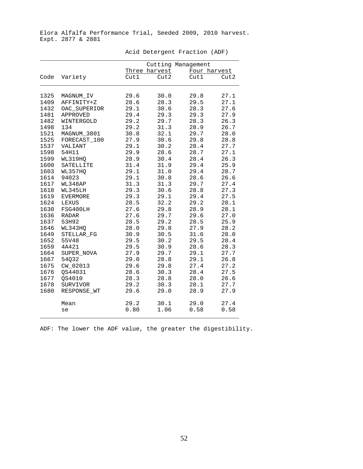|  | Acid Detergent Fraction (ADF) |  |  |
|--|-------------------------------|--|--|
|--|-------------------------------|--|--|

|              |                 |              |               | Cutting Management |              |
|--------------|-----------------|--------------|---------------|--------------------|--------------|
|              |                 |              | Three harvest |                    | Four harvest |
| Code         | Variety         | Cut1         | Cut2          | Cut1               | Cut2         |
| 1325         | MAGNUM IV       | 29.6         | 30.0          | 29.8               | 27.1         |
| 1409         | AFFINITY+Z      | 28.6         | 28.3          | 29.5               | 27.1         |
| 1432         | OAC_SUPERIOR    | 29.1         | 30.6          | 28.3               | 27.6         |
| 1481         | APPROVED        | 29.4         | 29.3          | 29.3               | 27.9         |
| 1482         | WINTERGOLD      | 29.2         | 29.7          | 28.3               | 26.3         |
| 1498         | 134             | 29.2         | 31.3          | 28.9               | 26.7         |
| 1521         | MAGNUM_3801     | 30.8         | 32.1          | 29.7               | 28.0         |
| 1525         | FORECAST_100    | 27.9         | 30.6          | 29.8               | 28.8         |
| 1537         | VALIANT         | 29.1         | 30.2          | 28.4               | 27.7         |
| 1598         | 54H11           | 29.9         | 28.6          | 28.7               | 27.1         |
| 1599         | WL319HQ         | 28.9         | 30.4          | 28.4               | 26.3         |
| 1600         | SATELLITE       | 31.4         | 31.9          | 29.4               | 25.9         |
| 1603         | WL357HQ         | 29.1         | 31.0          | 29.4               | 28.7         |
| 1614         | 94023           | 29.1         | 30.8          | 28.6               | 26.6         |
| 1617         | WL348AP         | 31.3         | 31.3          | 29.7               | 27.4         |
| 1618         | WL345LH         | 29.3         | 30.6          | 28.8               | 27.3         |
| 1619         | <b>EVERMORE</b> | 29.3         | 29.1          | 29.4               | 27.5         |
| 1624         | LEXUS           | 28.5         | 32.2          | 29.2               | 28.1         |
| 1630         | FSG400LH        | 27.6         | 29.8          | 28.9               | 28.1         |
| 1636         | <b>RADAR</b>    | 27.6         | 29.7          | 29.6               | 27.0         |
| 1637         | 53H92           | 28.5         | 29.2          | 28.5               | 25.9         |
| 1646         | WL343HQ         | 28.0         | 29.8          | 27.9               | 28.2         |
| 1649         | STELLAR FG      | 30.9         | 30.5          | 31.6               | 28.0         |
| 1652<br>1659 | 55V48<br>4A421  | 29.5<br>29.5 | 30.2<br>30.9  | 29.5<br>28.6       | 28.4         |
| 1664         | SUPER NOVA      | 27.9         | 29.7          | 29.1               | 28.3<br>27.7 |
| 1667         | 54032           | 29.0         | 28.8          | 29.1               | 26.8         |
| 1675         | CW_02013        | 29.6         | 29.8          | 27.4               | 27.2         |
| 1676         | QS44031         | 28.6         | 30.3          | 28.4               | 27.5         |
| 1677         | QS4010          | 28.3         | 28.8          | 28.0               | 26.6         |
| 1678         | SURVIVOR        | 29.2         | 30.3          | 28.1               | 27.7         |
| 1680         | RESPONSE WT     | 29.6         | 29.0          | 28.9               | 27.9         |
|              | Mean            | 29.2         | 30.1          | 29.0               | 27.4         |
|              | se              | 0.80         | 1.06          | 0.58               | 0.58         |

ADF: The lower the ADF value, the greater the digestibility.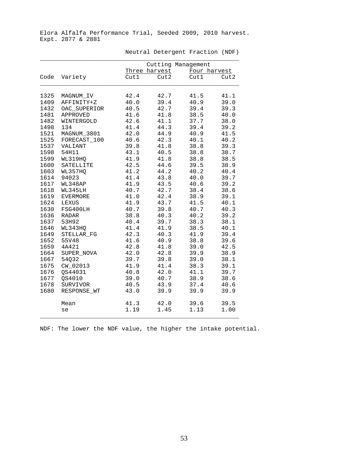|      |                 |      |               | Cutting Management |              |
|------|-----------------|------|---------------|--------------------|--------------|
|      |                 |      | Three harvest |                    | Four harvest |
| Code | Variety         | Cut1 | Cut2          | Cut1               | Cut2         |
| 1325 | MAGNUM IV       | 42.4 | 42.7          | 41.5               | 41.1         |
| 1409 | AFFINITY+Z      | 40.0 | 39.4          | 40.9               | 39.0         |
| 1432 | OAC SUPERIOR    | 40.5 | 42.7          | 39.4               | 39.3         |
| 1481 | APPROVED        | 41.6 | 41.8          | 38.5               | 40.0         |
| 1482 | WINTERGOLD      | 42.6 | 41.1          | 37.7               | 38.0         |
| 1498 | 134             | 41.4 | 44.3          | 39.4               | 39.2         |
| 1521 | MAGNUM_3801     | 42.0 | 44.9          | 40.9               | 41.5         |
| 1525 | FORECAST_100    | 40.6 | 42.3          | 40.1               | 40.2         |
| 1537 | VALIANT         | 39.8 | 41.8          | 38.8               | 39.3         |
| 1598 | 54H11           | 43.1 | 40.5          | 38.8               | 38.7         |
| 1599 | WL319HQ         | 41.9 | 41.8          | 38.8               | 38.5         |
| 1600 | SATELLITE       | 42.5 | 44.6          | 39.5               | 38.9         |
| 1603 | WL357HQ         | 41.2 | 44.2          | 40.2               | 40.4         |
| 1614 | 94023           | 41.4 | 43.8          | 40.0               | 39.7         |
| 1617 | WL348AP         | 41.9 | 43.5          | 40.6               | 39.2         |
| 1618 | WL345LH         | 40.7 | 42.7          | 38.4               | 38.6         |
| 1619 | <b>EVERMORE</b> | 41.0 | 42.4          | 38.9               | 39.1         |
| 1624 | LEXUS           | 41.9 | 43.7          | 41.5               | 40.1         |
| 1630 | FSG400LH        | 40.7 | 39.8          | 40.7               | 40.3         |
| 1636 | <b>RADAR</b>    | 38.8 | 40.3          | 40.2               | 39.2         |
| 1637 | 53H92           | 40.4 | 39.7          | 38.3               | 38.1         |
| 1646 | WL343HQ         | 41.4 | 41.9          | 38.5               | 40.1         |
| 1649 | STELLAR FG      | 42.3 | 40.3          | 41.9               | 39.4         |
| 1652 | 55V48           | 41.6 | 40.9          | 38.8               | 39.6         |
| 1659 | 4A421           | 42.8 | 41.8          | 39.0               | 42.5         |
| 1664 | SUPER NOVA      | 42.0 | 42.8          | 39.9               | 38.9         |
| 1667 | 54032           | 39.7 | 39.8          | 39.0               | 38.1         |
| 1675 | CW_02013        | 41.9 | 41.4          | 38.3               | 39.1         |
| 1676 | OS44031         | 40.8 | 42.0          | 41.1               | 39.7         |
| 1677 | OS4010          | 39.0 | 40.7          | 38.9               | 38.6         |
| 1678 | SURVIVOR        | 40.5 | 43.9          | 37.4               | 40.6         |
| 1680 | RESPONSE_WT     | 43.0 | 39.9          | 39.9               | 39.9         |
|      | Mean            | 41.3 | 42.0          | 39.6               | 39.5         |
|      | se              | 1.19 | 1.45          | 1.13               | 1.00         |

Neutral Detergent Fraction (NDF)

NDF: The lower the NDF value, the higher the intake potential.